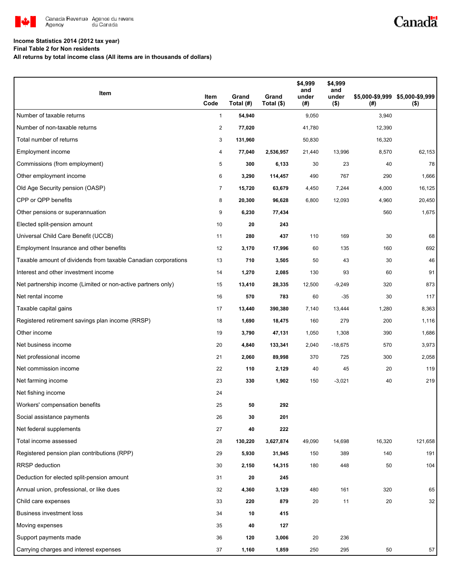

# Canadä

## **Income Statistics 2014 (2012 tax year)**

**Final Table 2 for Non residents**

**All returns by total income class (All items are in thousands of dollars)**

| Item                                                           | Item<br>Code   | Grand<br>Total (#) | Grand<br>Total (\$) | \$4,999<br>and<br>under<br>(#) | \$4,999<br>and<br>under<br>$($ \$) | (#)    | \$5,000-\$9,999 \$5,000-\$9,999<br>$($ \$) |
|----------------------------------------------------------------|----------------|--------------------|---------------------|--------------------------------|------------------------------------|--------|--------------------------------------------|
| Number of taxable returns                                      | $\mathbf{1}$   | 54,940             |                     | 9,050                          |                                    | 3,940  |                                            |
| Number of non-taxable returns                                  | 2              | 77,020             |                     | 41,780                         |                                    | 12,390 |                                            |
| Total number of returns                                        | 3              | 131,960            |                     | 50,830                         |                                    | 16,320 |                                            |
| Employment income                                              | 4              | 77,040             | 2,536,957           | 21,440                         | 13,996                             | 8,570  | 62,153                                     |
| Commissions (from employment)                                  | 5              | 300                | 6,133               | 30                             | 23                                 | 40     | 78                                         |
| Other employment income                                        | 6              | 3,290              | 114,457             | 490                            | 767                                | 290    | 1,666                                      |
| Old Age Security pension (OASP)                                | $\overline{7}$ | 15,720             | 63,679              | 4,450                          | 7,244                              | 4,000  | 16,125                                     |
| CPP or QPP benefits                                            | 8              | 20,300             | 96,628              | 6,800                          | 12,093                             | 4,960  | 20,450                                     |
| Other pensions or superannuation                               | 9              | 6,230              | 77,434              |                                |                                    | 560    | 1,675                                      |
| Elected split-pension amount                                   | 10             | 20                 | 243                 |                                |                                    |        |                                            |
| Universal Child Care Benefit (UCCB)                            | 11             | 280                | 437                 | 110                            | 169                                | 30     | 68                                         |
| Employment Insurance and other benefits                        | 12             | 3,170              | 17,996              | 60                             | 135                                | 160    | 692                                        |
| Taxable amount of dividends from taxable Canadian corporations | 13             | 710                | 3,505               | 50                             | 43                                 | 30     | 46                                         |
| Interest and other investment income                           | 14             | 1,270              | 2,085               | 130                            | 93                                 | 60     | 91                                         |
| Net partnership income (Limited or non-active partners only)   | 15             | 13,410             | 28,335              | 12,500                         | $-9,249$                           | 320    | 873                                        |
| Net rental income                                              | 16             | 570                | 783                 | 60                             | $-35$                              | 30     | 117                                        |
| Taxable capital gains                                          | 17             | 13,440             | 390,380             | 7,140                          | 13,444                             | 1,280  | 8,363                                      |
| Registered retirement savings plan income (RRSP)               | 18             | 1,690              | 18,475              | 160                            | 279                                | 200    | 1,116                                      |
| Other income                                                   | 19             | 3,790              | 47,131              | 1,050                          | 1,308                              | 390    | 1,686                                      |
| Net business income                                            | 20             | 4,840              | 133,341             | 2,040                          | $-18,675$                          | 570    | 3,973                                      |
| Net professional income                                        | 21             | 2,060              | 89,998              | 370                            | 725                                | 300    | 2,058                                      |
| Net commission income                                          | 22             | 110                | 2,129               | 40                             | 45                                 | 20     | 119                                        |
| Net farming income                                             | 23             | 330                | 1,902               | 150                            | $-3,021$                           | 40     | 219                                        |
| Net fishing income                                             | 24             |                    |                     |                                |                                    |        |                                            |
| Workers' compensation benefits                                 | 25             | 50                 | 292                 |                                |                                    |        |                                            |
| Social assistance payments                                     | 26             | 30                 | 201                 |                                |                                    |        |                                            |
| Net federal supplements                                        | 27             | 40                 | 222                 |                                |                                    |        |                                            |
| Total income assessed                                          | 28             | 130,220            | 3,627,874           | 49,090                         | 14,698                             | 16,320 | 121,658                                    |
| Registered pension plan contributions (RPP)                    | 29             | 5,930              | 31,945              | 150                            | 389                                | 140    | 191                                        |
| RRSP deduction                                                 | 30             | 2,150              | 14,315              | 180                            | 448                                | 50     | 104                                        |
| Deduction for elected split-pension amount                     | 31             | 20                 | 245                 |                                |                                    |        |                                            |
| Annual union, professional, or like dues                       | 32             | 4,360              | 3,129               | 480                            | 161                                | 320    | 65                                         |
| Child care expenses                                            | 33             | 220                | 879                 | 20                             | 11                                 | 20     | 32                                         |
| <b>Business investment loss</b>                                | 34             | 10                 | 415                 |                                |                                    |        |                                            |
| Moving expenses                                                | 35             | 40                 | 127                 |                                |                                    |        |                                            |
| Support payments made                                          | 36             | 120                | 3,006               | 20                             | 236                                |        |                                            |
| Carrying charges and interest expenses                         | 37             | 1,160              | 1,859               | 250                            | 295                                | 50     | 57                                         |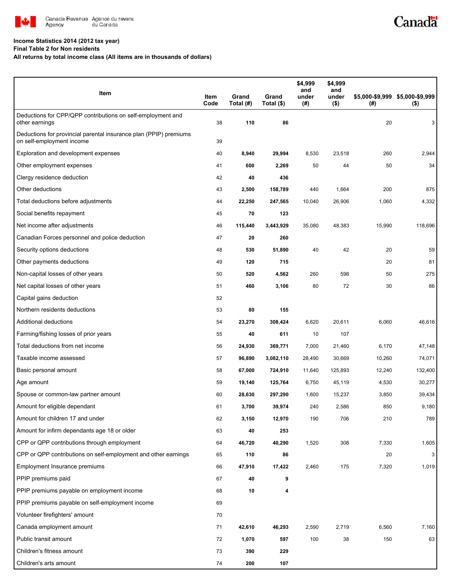

#### **Income Statistics 2014 (2012 tax year)**

**Final Table 2 for Non residents**

**All returns by total income class (All items are in thousands of dollars)**

| Item                                                                                           | Item<br>Code | Grand<br>Total (#) | Grand<br>Total (\$) | \$4,999<br>and<br>under<br>(#) | \$4,999<br>and<br>under<br>$($ \$) | (#)    | \$5,000-\$9,999 \$5,000-\$9,999<br>$($ \$) |
|------------------------------------------------------------------------------------------------|--------------|--------------------|---------------------|--------------------------------|------------------------------------|--------|--------------------------------------------|
| Deductions for CPP/QPP contributions on self-employment and<br>other earnings                  | 38           | 110                | 86                  |                                |                                    | 20     | 3                                          |
| Deductions for provincial parental insurance plan (PPIP) premiums<br>on self-employment income | 39           |                    |                     |                                |                                    |        |                                            |
| Exploration and development expenses                                                           | 40           | 8,940              | 29,994              | 8,530                          | 23,518                             | 260    | 2,944                                      |
| Other employment expenses                                                                      | 41           | 600                | 2,269               | 50                             | 44                                 | 50     | 34                                         |
| Clergy residence deduction                                                                     | 42           | 40                 | 436                 |                                |                                    |        |                                            |
| Other deductions                                                                               | 43           | 2,500              | 158,789             | 440                            | 1,664                              | 200    | 875                                        |
| Total deductions before adjustments                                                            | 44           | 22,250             | 247,565             | 10,040                         | 26,906                             | 1,060  | 4,332                                      |
| Social benefits repayment                                                                      | 45           | 70                 | 123                 |                                |                                    |        |                                            |
| Net income after adjustments                                                                   | 46           | 115,440            | 3,443,929           | 35,080                         | 48,383                             | 15,990 | 118,696                                    |
| Canadian Forces personnel and police deduction                                                 | 47           | 20                 | 260                 |                                |                                    |        |                                            |
| Security options deductions                                                                    | 48           | 530                | 51,890              | 40                             | 42                                 | 20     | 59                                         |
| Other payments deductions                                                                      | 49           | 120                | 715                 |                                |                                    | 20     | 81                                         |
| Non-capital losses of other years                                                              | 50           | 520                | 4,562               | 260                            | 598                                | 50     | 275                                        |
| Net capital losses of other years                                                              | 51           | 460                | 3,106               | 80                             | 72                                 | 30     | 86                                         |
| Capital gains deduction                                                                        | 52           |                    |                     |                                |                                    |        |                                            |
| Northern residents deductions                                                                  | 53           | 80                 | 155                 |                                |                                    |        |                                            |
| Additional deductions                                                                          | 54           | 23,270             | 308,424             | 6,620                          | 20,611                             | 6,060  | 46,616                                     |
| Farming/fishing losses of prior years                                                          | 55           | 40                 | 611                 | 10                             | 107                                |        |                                            |
| Total deductions from net income                                                               | 56           | 24,930             | 369,771             | 7,000                          | 21,460                             | 6,170  | 47,148                                     |
| Taxable income assessed                                                                        | 57           | 96,890             | 3,082,110           | 28,490                         | 30,669                             | 10,260 | 74,071                                     |
| Basic personal amount                                                                          | 58           | 67,000             | 724,910             | 11,640                         | 125,893                            | 12,240 | 132,400                                    |
| Age amount                                                                                     | 59           | 19,140             | 125,764             | 6,750                          | 45,119                             | 4,530  | 30,277                                     |
| Spouse or common-law partner amount                                                            | 60           | 28,630             | 297,290             | 1,600                          | 15,237                             | 3,850  | 39,434                                     |
| Amount for eligible dependant                                                                  | 61           | 3,700              | 39,974              | 240                            | 2,586                              | 850    | 9,180                                      |
| Amount for children 17 and under                                                               | 62           | 3,150              | 12,970              | 190                            | 706                                | 210    | 789                                        |
| Amount for infirm dependants age 18 or older                                                   | 63           | 40                 | 253                 |                                |                                    |        |                                            |
| CPP or QPP contributions through employment                                                    | 64           | 46,720             | 40,290              | 1,520                          | 308                                | 7,330  | 1,605                                      |
| CPP or QPP contributions on self-employment and other earnings                                 | 65           | 110                | 86                  |                                |                                    | 20     | 3                                          |
| Employment Insurance premiums                                                                  | 66           | 47,910             | 17,422              | 2,460                          | 175                                | 7,320  | 1,019                                      |
| PPIP premiums paid                                                                             | 67           | 40                 | 9                   |                                |                                    |        |                                            |
| PPIP premiums payable on employment income                                                     | 68           | 10                 | 4                   |                                |                                    |        |                                            |
| PPIP premiums payable on self-employment income                                                | 69           |                    |                     |                                |                                    |        |                                            |
| Volunteer firefighters' amount                                                                 | 70           |                    |                     |                                |                                    |        |                                            |
| Canada employment amount                                                                       | 71           | 42,610             | 46,293              | 2,590                          | 2,719                              | 6,560  | 7,160                                      |
| Public transit amount                                                                          | 72           | 1,070              | 597                 | 100                            | 38                                 | 150    | 63                                         |
| Children's fitness amount                                                                      | 73           | 390                | 229                 |                                |                                    |        |                                            |
| Children's arts amount                                                                         | 74           | 200                | 107                 |                                |                                    |        |                                            |

Canadä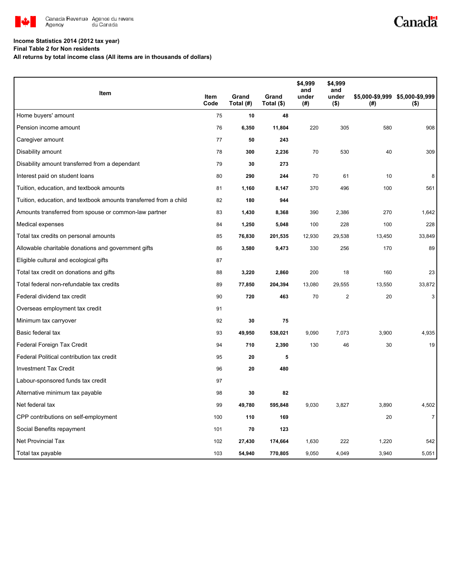

# Canadä

## **Income Statistics 2014 (2012 tax year)**

**Final Table 2 for Non residents**

**All returns by total income class (All items are in thousands of dollars)**

|                                                                   |              |                    |                     | \$4,999<br>and | \$4,999<br>and   |        |                                            |
|-------------------------------------------------------------------|--------------|--------------------|---------------------|----------------|------------------|--------|--------------------------------------------|
| Item                                                              | Item<br>Code | Grand<br>Total (#) | Grand<br>Total (\$) | under<br>(#)   | under<br>$($ \$) | (#)    | \$5,000-\$9,999 \$5,000-\$9,999<br>$($ \$) |
| Home buyers' amount                                               | 75           | 10                 | 48                  |                |                  |        |                                            |
| Pension income amount                                             | 76           | 6,350              | 11,804              | 220            | 305              | 580    | 908                                        |
| Caregiver amount                                                  | 77           | 50                 | 243                 |                |                  |        |                                            |
| Disability amount                                                 | 78           | 300                | 2,236               | 70             | 530              | 40     | 309                                        |
| Disability amount transferred from a dependant                    | 79           | 30                 | 273                 |                |                  |        |                                            |
| Interest paid on student loans                                    | 80           | 290                | 244                 | 70             | 61               | 10     | 8                                          |
| Tuition, education, and textbook amounts                          | 81           | 1,160              | 8,147               | 370            | 496              | 100    | 561                                        |
| Tuition, education, and textbook amounts transferred from a child | 82           | 180                | 944                 |                |                  |        |                                            |
| Amounts transferred from spouse or common-law partner             | 83           | 1,430              | 8,368               | 390            | 2,386            | 270    | 1,642                                      |
| Medical expenses                                                  | 84           | 1,250              | 5,048               | 100            | 228              | 100    | 228                                        |
| Total tax credits on personal amounts                             | 85           | 76,830             | 201,535             | 12,930         | 29,538           | 13,450 | 33,849                                     |
| Allowable charitable donations and government gifts               | 86           | 3,580              | 9,473               | 330            | 256              | 170    | 89                                         |
| Eligible cultural and ecological gifts                            | 87           |                    |                     |                |                  |        |                                            |
| Total tax credit on donations and gifts                           | 88           | 3,220              | 2,860               | 200            | 18               | 160    | 23                                         |
| Total federal non-refundable tax credits                          | 89           | 77,850             | 204,394             | 13,080         | 29,555           | 13,550 | 33,872                                     |
| Federal dividend tax credit                                       | 90           | 720                | 463                 | 70             | $\overline{2}$   | 20     | 3                                          |
| Overseas employment tax credit                                    | 91           |                    |                     |                |                  |        |                                            |
| Minimum tax carryover                                             | 92           | 30                 | 75                  |                |                  |        |                                            |
| Basic federal tax                                                 | 93           | 49,950             | 538,021             | 9,090          | 7,073            | 3,900  | 4,935                                      |
| Federal Foreign Tax Credit                                        | 94           | 710                | 2,390               | 130            | 46               | 30     | 19                                         |
| Federal Political contribution tax credit                         | 95           | 20                 | 5                   |                |                  |        |                                            |
| <b>Investment Tax Credit</b>                                      | 96           | 20                 | 480                 |                |                  |        |                                            |
| Labour-sponsored funds tax credit                                 | 97           |                    |                     |                |                  |        |                                            |
| Alternative minimum tax payable                                   | 98           | 30                 | 82                  |                |                  |        |                                            |
| Net federal tax                                                   | 99           | 49,780             | 595,848             | 9,030          | 3,827            | 3,890  | 4,502                                      |
| CPP contributions on self-employment                              | 100          | 110                | 169                 |                |                  | 20     | $\overline{7}$                             |
| Social Benefits repayment                                         | 101          | 70                 | 123                 |                |                  |        |                                            |
| <b>Net Provincial Tax</b>                                         | 102          | 27,430             | 174,664             | 1,630          | 222              | 1,220  | 542                                        |
| Total tax payable                                                 | 103          | 54,940             | 770,805             | 9,050          | 4,049            | 3,940  | 5,051                                      |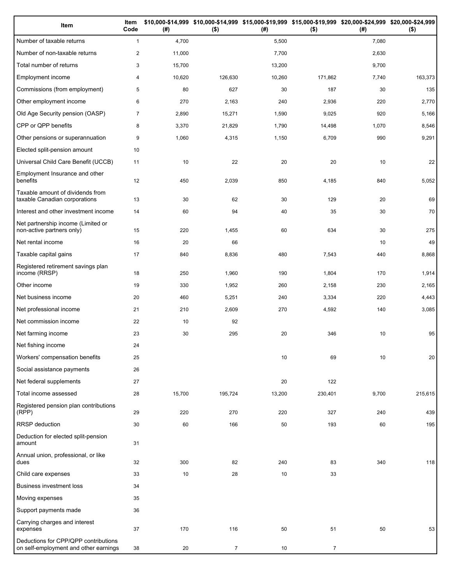| Item                                                                          | Item<br>Code   | (#)    | \$10,000-\$14,999 \$10,000-\$14,999 \$15,000-\$19,999 \$15,000-\$19,999 \$20,000-\$24,999 \$20,000-\$24,999<br>$($ \$) | (#)    | $($ \$)        | (# )  | $($ \$) |
|-------------------------------------------------------------------------------|----------------|--------|------------------------------------------------------------------------------------------------------------------------|--------|----------------|-------|---------|
| Number of taxable returns                                                     | $\mathbf{1}$   | 4,700  |                                                                                                                        | 5,500  |                | 7,080 |         |
| Number of non-taxable returns                                                 | $\overline{2}$ | 11,000 |                                                                                                                        | 7,700  |                | 2,630 |         |
| Total number of returns                                                       | 3              | 15,700 |                                                                                                                        | 13,200 |                | 9,700 |         |
| Employment income                                                             | 4              | 10,620 | 126,630                                                                                                                | 10,260 | 171,862        | 7,740 | 163,373 |
| Commissions (from employment)                                                 | 5              | 80     | 627                                                                                                                    | 30     | 187            | 30    | 135     |
| Other employment income                                                       | 6              | 270    | 2,163                                                                                                                  | 240    | 2,936          | 220   | 2,770   |
| Old Age Security pension (OASP)                                               | $\overline{7}$ | 2,890  | 15,271                                                                                                                 | 1,590  | 9,025          | 920   | 5,166   |
| CPP or QPP benefits                                                           | 8              | 3,370  | 21,829                                                                                                                 | 1,790  | 14,498         | 1,070 | 8,546   |
| Other pensions or superannuation                                              | 9              | 1,060  | 4,315                                                                                                                  | 1,150  | 6,709          | 990   | 9,291   |
| Elected split-pension amount                                                  | 10             |        |                                                                                                                        |        |                |       |         |
| Universal Child Care Benefit (UCCB)                                           | 11             | 10     | 22                                                                                                                     | 20     | 20             | 10    | 22      |
| Employment Insurance and other<br>benefits                                    | 12             | 450    | 2,039                                                                                                                  | 850    | 4,185          | 840   | 5,052   |
| Taxable amount of dividends from<br>taxable Canadian corporations             | 13             | 30     | 62                                                                                                                     | 30     | 129            | 20    | 69      |
| Interest and other investment income                                          | 14             | 60     | 94                                                                                                                     | 40     | 35             | 30    | 70      |
| Net partnership income (Limited or<br>non-active partners only)               | 15             | 220    | 1,455                                                                                                                  | 60     | 634            | 30    | 275     |
| Net rental income                                                             | 16             | 20     | 66                                                                                                                     |        |                | 10    | 49      |
| Taxable capital gains                                                         | 17             | 840    | 8,836                                                                                                                  | 480    | 7,543          | 440   | 8,868   |
| Registered retirement savings plan<br>income (RRSP)                           | 18             | 250    | 1,960                                                                                                                  | 190    | 1,804          | 170   | 1,914   |
| Other income                                                                  | 19             | 330    | 1,952                                                                                                                  | 260    | 2,158          | 230   | 2,165   |
| Net business income                                                           | 20             | 460    | 5,251                                                                                                                  | 240    | 3,334          | 220   | 4,443   |
| Net professional income                                                       | 21             | 210    | 2,609                                                                                                                  | 270    | 4,592          | 140   | 3,085   |
| Net commission income                                                         | 22             | 10     | 92                                                                                                                     |        |                |       |         |
| Net farming income                                                            | 23             | 30     | 295                                                                                                                    | 20     | 346            | 10    | 95      |
| Net fishing income                                                            | 24             |        |                                                                                                                        |        |                |       |         |
| Workers' compensation benefits                                                | 25             |        |                                                                                                                        | 10     | 69             | 10    | 20      |
| Social assistance payments                                                    | 26             |        |                                                                                                                        |        |                |       |         |
| Net federal supplements                                                       | 27             |        |                                                                                                                        | 20     | 122            |       |         |
| Total income assessed                                                         | 28             | 15,700 | 195,724                                                                                                                | 13,200 | 230,401        | 9,700 | 215,615 |
| Registered pension plan contributions<br>(RPP)                                | 29             | 220    | 270                                                                                                                    | 220    | 327            | 240   | 439     |
| RRSP deduction                                                                | 30             | 60     | 166                                                                                                                    | 50     | 193            | 60    | 195     |
| Deduction for elected split-pension<br>amount                                 | 31             |        |                                                                                                                        |        |                |       |         |
| Annual union, professional, or like<br>dues                                   | 32             | 300    | 82                                                                                                                     | 240    | 83             | 340   | 118     |
| Child care expenses                                                           | 33             | 10     | 28                                                                                                                     | 10     | 33             |       |         |
| <b>Business investment loss</b>                                               | 34             |        |                                                                                                                        |        |                |       |         |
| Moving expenses                                                               | 35             |        |                                                                                                                        |        |                |       |         |
| Support payments made                                                         | 36             |        |                                                                                                                        |        |                |       |         |
| Carrying charges and interest<br>expenses                                     | 37             | 170    | 116                                                                                                                    | 50     | 51             | 50    | 53      |
| Deductions for CPP/QPP contributions<br>on self-employment and other earnings | 38             | 20     | $\overline{7}$                                                                                                         | 10     | $\overline{7}$ |       |         |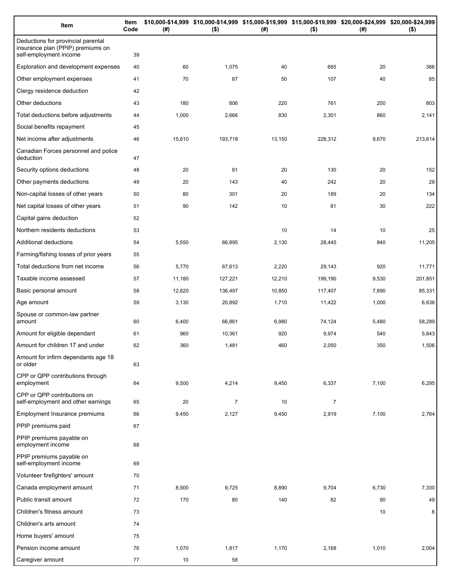| Item                                                                                              | Item<br>Code | (# )   | $($ \$)        | (#)    | $($ \$)        | (# )  | \$10,000-\$14,999 \$10,000-\$14,999 \$15,000-\$19,999 \$15,000-\$19,999 \$20,000-\$24,999 \$20,000-\$24,999<br>$($ \$) |
|---------------------------------------------------------------------------------------------------|--------------|--------|----------------|--------|----------------|-------|------------------------------------------------------------------------------------------------------------------------|
| Deductions for provincial parental<br>insurance plan (PPIP) premiums on<br>self-employment income | 39           |        |                |        |                |       |                                                                                                                        |
| Exploration and development expenses                                                              | 40           | 60     | 1,075          | 40     | 665            | 20    | 366                                                                                                                    |
| Other employment expenses                                                                         | 41           | 70     | 87             | 50     | 107            | 40    | 85                                                                                                                     |
| Clergy residence deduction                                                                        | 42           |        |                |        |                |       |                                                                                                                        |
| Other deductions                                                                                  | 43           | 180    | 806            | 220    | 761            | 200   | 803                                                                                                                    |
| Total deductions before adjustments                                                               | 44           | 1,000  | 2,666          | 830    | 2,301          | 860   | 2,141                                                                                                                  |
| Social benefits repayment                                                                         | 45           |        |                |        |                |       |                                                                                                                        |
| Net income after adjustments                                                                      | 46           | 15,610 | 193,718        | 13,150 | 228,312        | 9,670 | 213,614                                                                                                                |
| Canadian Forces personnel and police<br>deduction                                                 | 47           |        |                |        |                |       |                                                                                                                        |
| Security options deductions                                                                       | 48           | 20     | 91             | 20     | 130            | 20    | 152                                                                                                                    |
| Other payments deductions                                                                         | 49           | 20     | 143            | 40     | 242            | 20    | 29                                                                                                                     |
| Non-capital losses of other years                                                                 | 50           | 80     | 301            | 20     | 189            | 20    | 134                                                                                                                    |
| Net capital losses of other years                                                                 | 51           | 90     | 142            | 10     | 81             | 30    | 222                                                                                                                    |
| Capital gains deduction                                                                           | 52           |        |                |        |                |       |                                                                                                                        |
| Northern residents deductions                                                                     | 53           |        |                | 10     | 14             | 10    | 25                                                                                                                     |
| Additional deductions                                                                             | 54           | 5,550  | 66,895         | 2,130  | 28,445         | 840   | 11,205                                                                                                                 |
| Farming/fishing losses of prior years                                                             | 55           |        |                |        |                |       |                                                                                                                        |
| Total deductions from net income                                                                  | 56           | 5,770  | 67,613         | 2,220  | 29,143         | 920   | 11,771                                                                                                                 |
| Taxable income assessed                                                                           | 57           | 11,180 | 127,221        | 12,210 | 199,190        | 9,530 | 201,851                                                                                                                |
| Basic personal amount                                                                             | 58           | 12,620 | 136,497        | 10,850 | 117,407        | 7,890 | 85,331                                                                                                                 |
| Age amount                                                                                        | 59           | 3,130  | 20,892         | 1,710  | 11,422         | 1,000 | 6,636                                                                                                                  |
| Spouse or common-law partner<br>amount                                                            | 60           | 6,400  | 66,861         | 6,980  | 74,124         | 5,480 | 58,289                                                                                                                 |
| Amount for eligible dependant                                                                     | 61           | 960    | 10,361         | 920    | 9,974          | 540   | 5,843                                                                                                                  |
| Amount for children 17 and under                                                                  | 62           | 360    | 1,481          | 460    | 2,050          | 350   | 1,506                                                                                                                  |
| Amount for infirm dependants age 18<br>or older                                                   | 63           |        |                |        |                |       |                                                                                                                        |
| CPP or QPP contributions through<br>employment                                                    | 64           | 9,500  | 4,214          | 9,450  | 6,337          | 7,100 | 6,295                                                                                                                  |
| CPP or QPP contributions on<br>self-employment and other earnings                                 | 65           | 20     | $\overline{7}$ | 10     | $\overline{7}$ |       |                                                                                                                        |
| <b>Employment Insurance premiums</b>                                                              | 66           | 9,450  | 2,127          | 9,450  | 2,919          | 7,100 | 2,764                                                                                                                  |
| PPIP premiums paid                                                                                | 67           |        |                |        |                |       |                                                                                                                        |
| PPIP premiums payable on<br>employment income                                                     | 68           |        |                |        |                |       |                                                                                                                        |
| PPIP premiums payable on<br>self-employment income                                                | 69           |        |                |        |                |       |                                                                                                                        |
| Volunteer firefighters' amount                                                                    | 70           |        |                |        |                |       |                                                                                                                        |
| Canada employment amount                                                                          | 71           | 8,900  | 9,725          | 8,890  | 9,704          | 6,730 | 7,330                                                                                                                  |
| Public transit amount                                                                             | 72           | 170    | 80             | 140    | 82             | 90    | 49                                                                                                                     |
| Children's fitness amount                                                                         | 73           |        |                |        |                | 10    | 8 <sup>1</sup>                                                                                                         |
| Children's arts amount                                                                            | 74           |        |                |        |                |       |                                                                                                                        |
| Home buyers' amount                                                                               | 75           |        |                |        |                |       |                                                                                                                        |
| Pension income amount                                                                             | 76           | 1,070  | 1,817          | 1,170  | 2,168          | 1,010 | 2,004                                                                                                                  |
| Caregiver amount                                                                                  | 77           | 10     | 58             |        |                |       |                                                                                                                        |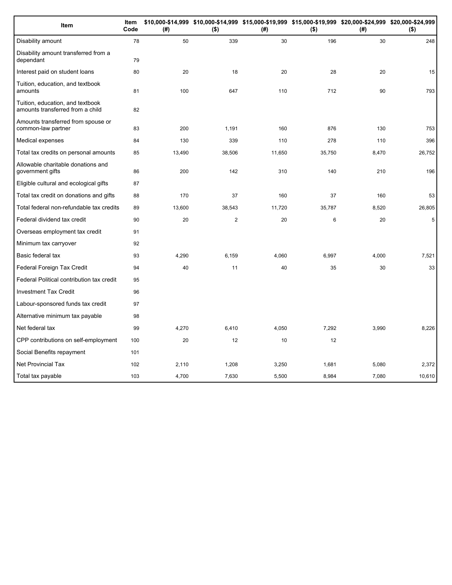| Item                                                                 | Item<br>Code | (#)    | \$10,000-\$14,999 \$10,000-\$14,999 \$15,000-\$19,999 \$15,000-\$19,999 \$20,000-\$24,999 \$20,000-\$24,999<br>$($ \$) | (#)    | $($ \$) | (#)   | $($ \$)     |
|----------------------------------------------------------------------|--------------|--------|------------------------------------------------------------------------------------------------------------------------|--------|---------|-------|-------------|
| Disability amount                                                    | 78           | 50     | 339                                                                                                                    | 30     | 196     | 30    | 248         |
| Disability amount transferred from a<br>dependant                    | 79           |        |                                                                                                                        |        |         |       |             |
| Interest paid on student loans                                       | 80           | 20     | 18                                                                                                                     | 20     | 28      | 20    | 15          |
| Tuition, education, and textbook<br>amounts                          | 81           | 100    | 647                                                                                                                    | 110    | 712     | 90    | 793         |
| Tuition, education, and textbook<br>amounts transferred from a child | 82           |        |                                                                                                                        |        |         |       |             |
| Amounts transferred from spouse or<br>common-law partner             | 83           | 200    | 1,191                                                                                                                  | 160    | 876     | 130   | 753         |
| Medical expenses                                                     | 84           | 130    | 339                                                                                                                    | 110    | 278     | 110   | 396         |
| Total tax credits on personal amounts                                | 85           | 13,490 | 38,506                                                                                                                 | 11,650 | 35,750  | 8,470 | 26,752      |
| Allowable charitable donations and<br>government gifts               | 86           | 200    | 142                                                                                                                    | 310    | 140     | 210   | 196         |
| Eligible cultural and ecological gifts                               | 87           |        |                                                                                                                        |        |         |       |             |
| Total tax credit on donations and gifts                              | 88           | 170    | 37                                                                                                                     | 160    | 37      | 160   | 53          |
| Total federal non-refundable tax credits                             | 89           | 13,600 | 38,543                                                                                                                 | 11,720 | 35,787  | 8,520 | 26,805      |
| Federal dividend tax credit                                          | 90           | 20     | $\overline{c}$                                                                                                         | 20     | 6       | 20    | $\,$ 5 $\,$ |
| Overseas employment tax credit                                       | 91           |        |                                                                                                                        |        |         |       |             |
| Minimum tax carryover                                                | 92           |        |                                                                                                                        |        |         |       |             |
| Basic federal tax                                                    | 93           | 4,290  | 6,159                                                                                                                  | 4,060  | 6,997   | 4,000 | 7,521       |
| Federal Foreign Tax Credit                                           | 94           | 40     | 11                                                                                                                     | 40     | 35      | 30    | 33          |
| Federal Political contribution tax credit                            | 95           |        |                                                                                                                        |        |         |       |             |
| <b>Investment Tax Credit</b>                                         | 96           |        |                                                                                                                        |        |         |       |             |
| Labour-sponsored funds tax credit                                    | 97           |        |                                                                                                                        |        |         |       |             |
| Alternative minimum tax payable                                      | 98           |        |                                                                                                                        |        |         |       |             |
| Net federal tax                                                      | 99           | 4,270  | 6,410                                                                                                                  | 4,050  | 7,292   | 3,990 | 8,226       |
| CPP contributions on self-employment                                 | 100          | 20     | 12                                                                                                                     | 10     | 12      |       |             |
| Social Benefits repayment                                            | 101          |        |                                                                                                                        |        |         |       |             |
| <b>Net Provincial Tax</b>                                            | 102          | 2,110  | 1,208                                                                                                                  | 3,250  | 1,681   | 5,080 | 2,372       |
| Total tax payable                                                    | 103          | 4,700  | 7,630                                                                                                                  | 5,500  | 8,984   | 7,080 | 10,610      |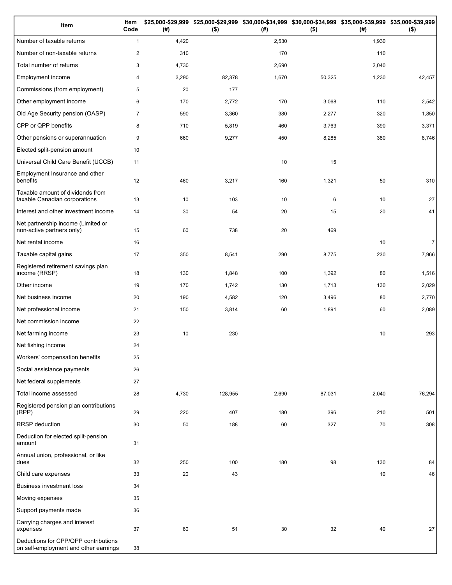| Item                                                                          | Item<br>Code   | (# )  | \$25,000-\$29,999 \$25,000-\$29,999 \$30,000-\$34,999 \$30,000-\$34,999 \$35,000-\$39,999 \$35,000-\$39,999<br>( \$) | (#)   | $($ \$) | (#)   | $($ \$)        |
|-------------------------------------------------------------------------------|----------------|-------|----------------------------------------------------------------------------------------------------------------------|-------|---------|-------|----------------|
| Number of taxable returns                                                     | $\mathbf{1}$   | 4,420 |                                                                                                                      | 2,530 |         | 1,930 |                |
| Number of non-taxable returns                                                 | 2              | 310   |                                                                                                                      | 170   |         | 110   |                |
| Total number of returns                                                       | 3              | 4,730 |                                                                                                                      | 2,690 |         | 2,040 |                |
| Employment income                                                             | 4              | 3,290 | 82,378                                                                                                               | 1,670 | 50,325  | 1,230 | 42,457         |
| Commissions (from employment)                                                 | 5              | 20    | 177                                                                                                                  |       |         |       |                |
| Other employment income                                                       | 6              | 170   | 2,772                                                                                                                | 170   | 3,068   | 110   | 2,542          |
| Old Age Security pension (OASP)                                               | $\overline{7}$ | 590   | 3,360                                                                                                                | 380   | 2,277   | 320   | 1,850          |
| CPP or QPP benefits                                                           | 8              | 710   | 5,819                                                                                                                | 460   | 3,763   | 390   | 3,371          |
| Other pensions or superannuation                                              | 9              | 660   | 9,277                                                                                                                | 450   | 8,285   | 380   | 8,746          |
| Elected split-pension amount                                                  | 10             |       |                                                                                                                      |       |         |       |                |
| Universal Child Care Benefit (UCCB)                                           | 11             |       |                                                                                                                      | 10    | 15      |       |                |
| Employment Insurance and other<br>benefits                                    | 12             | 460   | 3,217                                                                                                                | 160   | 1,321   | 50    | 310            |
| Taxable amount of dividends from<br>taxable Canadian corporations             | 13             | 10    | 103                                                                                                                  | 10    | 6       | 10    | 27             |
| Interest and other investment income                                          | 14             | 30    | 54                                                                                                                   | 20    | 15      | 20    | 41             |
| Net partnership income (Limited or<br>non-active partners only)               | 15             | 60    | 738                                                                                                                  | 20    | 469     |       |                |
| Net rental income                                                             | 16             |       |                                                                                                                      |       |         | 10    | $\overline{7}$ |
| Taxable capital gains                                                         | 17             | 350   | 8,541                                                                                                                | 290   | 8,775   | 230   | 7,966          |
| Registered retirement savings plan<br>income (RRSP)                           | 18             | 130   | 1,848                                                                                                                | 100   | 1,392   | 80    | 1,516          |
| Other income                                                                  | 19             | 170   | 1,742                                                                                                                | 130   | 1,713   | 130   | 2,029          |
| Net business income                                                           | 20             | 190   | 4,582                                                                                                                | 120   | 3,496   | 80    | 2,770          |
| Net professional income                                                       | 21             | 150   | 3,814                                                                                                                | 60    | 1,891   | 60    | 2,089          |
| Net commission income                                                         | 22             |       |                                                                                                                      |       |         |       |                |
| Net farming income                                                            | 23             | 10    | 230                                                                                                                  |       |         | 10    | 293            |
| Net fishing income                                                            | 24             |       |                                                                                                                      |       |         |       |                |
| Workers' compensation benefits                                                | 25             |       |                                                                                                                      |       |         |       |                |
| Social assistance payments                                                    | 26             |       |                                                                                                                      |       |         |       |                |
| Net federal supplements                                                       | 27             |       |                                                                                                                      |       |         |       |                |
| Total income assessed                                                         | 28             | 4,730 | 128,955                                                                                                              | 2,690 | 87,031  | 2,040 | 76,294         |
| Registered pension plan contributions<br>(RPP)                                | 29             | 220   | 407                                                                                                                  | 180   | 396     | 210   | 501            |
| RRSP deduction                                                                | 30             | 50    | 188                                                                                                                  | 60    | 327     | 70    | 308            |
| Deduction for elected split-pension<br>amount                                 | 31             |       |                                                                                                                      |       |         |       |                |
| Annual union, professional, or like<br>dues                                   | 32             | 250   | 100                                                                                                                  | 180   | 98      | 130   | 84             |
| Child care expenses                                                           | 33             | 20    | 43                                                                                                                   |       |         | 10    | 46             |
| <b>Business investment loss</b>                                               | 34             |       |                                                                                                                      |       |         |       |                |
| Moving expenses                                                               | 35             |       |                                                                                                                      |       |         |       |                |
| Support payments made                                                         | 36             |       |                                                                                                                      |       |         |       |                |
| Carrying charges and interest<br>expenses                                     | 37             | 60    | 51                                                                                                                   | 30    | 32      | 40    | 27             |
| Deductions for CPP/QPP contributions<br>on self-employment and other earnings | 38             |       |                                                                                                                      |       |         |       |                |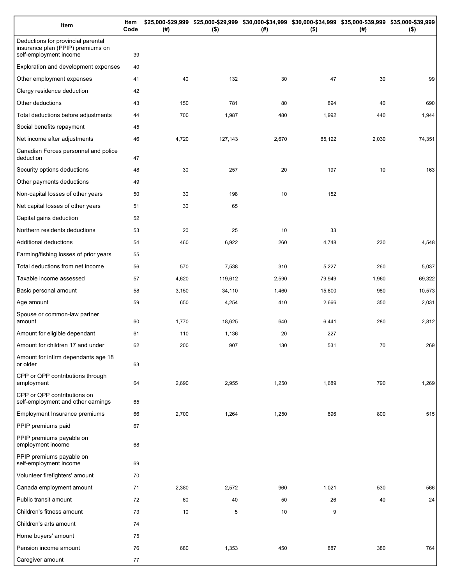| Item                                                                                              | Item<br>Code | (# )  | \$25,000-\$29,999 \$25,000-\$29,999 \$30,000-\$34,999 \$30,000-\$34,999 \$35,000-\$39,999 \$35,000-\$39,999<br>$($ \$) | (# )  | $($ \$) | (# )  | $($ \$) |
|---------------------------------------------------------------------------------------------------|--------------|-------|------------------------------------------------------------------------------------------------------------------------|-------|---------|-------|---------|
| Deductions for provincial parental<br>insurance plan (PPIP) premiums on<br>self-employment income | 39           |       |                                                                                                                        |       |         |       |         |
| Exploration and development expenses                                                              | 40           |       |                                                                                                                        |       |         |       |         |
| Other employment expenses                                                                         | 41           | 40    | 132                                                                                                                    | 30    | 47      | 30    | 99      |
| Clergy residence deduction                                                                        | 42           |       |                                                                                                                        |       |         |       |         |
| Other deductions                                                                                  | 43           | 150   | 781                                                                                                                    | 80    | 894     | 40    | 690     |
| Total deductions before adjustments                                                               | 44           | 700   | 1,987                                                                                                                  | 480   | 1,992   | 440   | 1,944   |
| Social benefits repayment                                                                         | 45           |       |                                                                                                                        |       |         |       |         |
| Net income after adjustments                                                                      | 46           | 4,720 | 127,143                                                                                                                | 2,670 | 85,122  | 2,030 | 74,351  |
| Canadian Forces personnel and police<br>deduction                                                 | 47           |       |                                                                                                                        |       |         |       |         |
| Security options deductions                                                                       | 48           | 30    | 257                                                                                                                    | 20    | 197     | 10    | 163     |
| Other payments deductions                                                                         | 49           |       |                                                                                                                        |       |         |       |         |
| Non-capital losses of other years                                                                 | 50           | 30    | 198                                                                                                                    | 10    | 152     |       |         |
| Net capital losses of other years                                                                 | 51           | 30    | 65                                                                                                                     |       |         |       |         |
| Capital gains deduction                                                                           | 52           |       |                                                                                                                        |       |         |       |         |
| Northern residents deductions                                                                     | 53           | 20    | 25                                                                                                                     | 10    | 33      |       |         |
| Additional deductions                                                                             | 54           | 460   | 6,922                                                                                                                  | 260   | 4,748   | 230   | 4,548   |
| Farming/fishing losses of prior years                                                             | 55           |       |                                                                                                                        |       |         |       |         |
| Total deductions from net income                                                                  | 56           | 570   | 7,538                                                                                                                  | 310   | 5,227   | 260   | 5,037   |
| Taxable income assessed                                                                           | 57           | 4,620 | 119,612                                                                                                                | 2,590 | 79,949  | 1,960 | 69,322  |
| Basic personal amount                                                                             | 58           | 3,150 | 34,110                                                                                                                 | 1,460 | 15,800  | 980   | 10,573  |
| Age amount                                                                                        | 59           | 650   | 4,254                                                                                                                  | 410   | 2,666   | 350   | 2,031   |
| Spouse or common-law partner<br>amount                                                            | 60           | 1,770 | 18,625                                                                                                                 | 640   | 6,441   | 280   | 2,812   |
| Amount for eligible dependant                                                                     | 61           | 110   | 1,136                                                                                                                  | 20    | 227     |       |         |
| Amount for children 17 and under                                                                  | 62           | 200   | 907                                                                                                                    | 130   | 531     | 70    | 269     |
| Amount for infirm dependants age 18<br>or older                                                   | 63           |       |                                                                                                                        |       |         |       |         |
| CPP or QPP contributions through<br>employment                                                    | 64           | 2,690 | 2,955                                                                                                                  | 1,250 | 1,689   | 790   | 1,269   |
| CPP or QPP contributions on<br>self-employment and other earnings                                 | 65           |       |                                                                                                                        |       |         |       |         |
| Employment Insurance premiums                                                                     | 66           | 2,700 | 1,264                                                                                                                  | 1,250 | 696     | 800   | 515     |
| PPIP premiums paid                                                                                | 67           |       |                                                                                                                        |       |         |       |         |
| PPIP premiums payable on<br>employment income                                                     | 68           |       |                                                                                                                        |       |         |       |         |
| PPIP premiums payable on<br>self-employment income                                                | 69           |       |                                                                                                                        |       |         |       |         |
| Volunteer firefighters' amount                                                                    | 70           |       |                                                                                                                        |       |         |       |         |
| Canada employment amount                                                                          | 71           | 2,380 | 2,572                                                                                                                  | 960   | 1,021   | 530   | 566     |
| Public transit amount                                                                             | 72           | 60    | 40                                                                                                                     | 50    | 26      | 40    | 24      |
| Children's fitness amount                                                                         | 73           | 10    | 5                                                                                                                      | 10    | 9       |       |         |
| Children's arts amount                                                                            | 74           |       |                                                                                                                        |       |         |       |         |
| Home buyers' amount                                                                               | 75           |       |                                                                                                                        |       |         |       |         |
| Pension income amount                                                                             | 76           | 680   | 1,353                                                                                                                  | 450   | 887     | 380   | 764     |
| Caregiver amount                                                                                  | 77           |       |                                                                                                                        |       |         |       |         |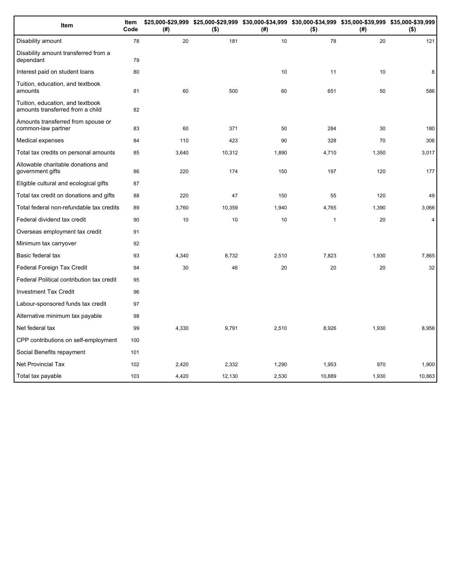| Item                                                                 | Item<br>Code | (#)   | \$25,000-\$29,999 \$25,000-\$29,999 \$30,000-\$34,999 \$30,000-\$34,999 \$35,000-\$39,999 \$35,000-\$39,999<br>$($ \$) | (#)   | $($ \$)        | (# )  | $($ \$) |
|----------------------------------------------------------------------|--------------|-------|------------------------------------------------------------------------------------------------------------------------|-------|----------------|-------|---------|
| Disability amount                                                    | 78           | 20    | 181                                                                                                                    | 10    | 78             | 20    | 121     |
| Disability amount transferred from a<br>dependant                    | 79           |       |                                                                                                                        |       |                |       |         |
| Interest paid on student loans                                       | 80           |       |                                                                                                                        | 10    | 11             | 10    | 8       |
| Tuition, education, and textbook<br>amounts                          | 81           | 60    | 500                                                                                                                    | 60    | 651            | 50    | 586     |
| Tuition, education, and textbook<br>amounts transferred from a child | 82           |       |                                                                                                                        |       |                |       |         |
| Amounts transferred from spouse or<br>common-law partner             | 83           | 60    | 371                                                                                                                    | 50    | 284            | 30    | 180     |
| Medical expenses                                                     | 84           | 110   | 423                                                                                                                    | 90    | 328            | 70    | 306     |
| Total tax credits on personal amounts                                | 85           | 3,640 | 10,312                                                                                                                 | 1,890 | 4,710          | 1,350 | 3,017   |
| Allowable charitable donations and<br>government gifts               | 86           | 220   | 174                                                                                                                    | 150   | 197            | 120   | 177     |
| Eligible cultural and ecological gifts                               | 87           |       |                                                                                                                        |       |                |       |         |
| Total tax credit on donations and gifts                              | 88           | 220   | 47                                                                                                                     | 150   | 55             | 120   | 49      |
| Total federal non-refundable tax credits                             | 89           | 3,760 | 10,359                                                                                                                 | 1,940 | 4,765          | 1,390 | 3,066   |
| Federal dividend tax credit                                          | 90           | 10    | 10                                                                                                                     | 10    | $\overline{1}$ | 20    | 4       |
| Overseas employment tax credit                                       | 91           |       |                                                                                                                        |       |                |       |         |
| Minimum tax carryover                                                | 92           |       |                                                                                                                        |       |                |       |         |
| Basic federal tax                                                    | 93           | 4,340 | 8,732                                                                                                                  | 2,510 | 7,823          | 1,930 | 7,865   |
| Federal Foreign Tax Credit                                           | 94           | 30    | 46                                                                                                                     | 20    | 20             | 20    | 32      |
| Federal Political contribution tax credit                            | 95           |       |                                                                                                                        |       |                |       |         |
| <b>Investment Tax Credit</b>                                         | 96           |       |                                                                                                                        |       |                |       |         |
| Labour-sponsored funds tax credit                                    | 97           |       |                                                                                                                        |       |                |       |         |
| Alternative minimum tax payable                                      | 98           |       |                                                                                                                        |       |                |       |         |
| Net federal tax                                                      | 99           | 4,330 | 9,791                                                                                                                  | 2,510 | 8,926          | 1,930 | 8,956   |
| CPP contributions on self-employment                                 | 100          |       |                                                                                                                        |       |                |       |         |
| Social Benefits repayment                                            | 101          |       |                                                                                                                        |       |                |       |         |
| <b>Net Provincial Tax</b>                                            | 102          | 2,420 | 2,332                                                                                                                  | 1,290 | 1,953          | 970   | 1,900   |
| Total tax payable                                                    | 103          | 4,420 | 12,130                                                                                                                 | 2,530 | 10,889         | 1,930 | 10,863  |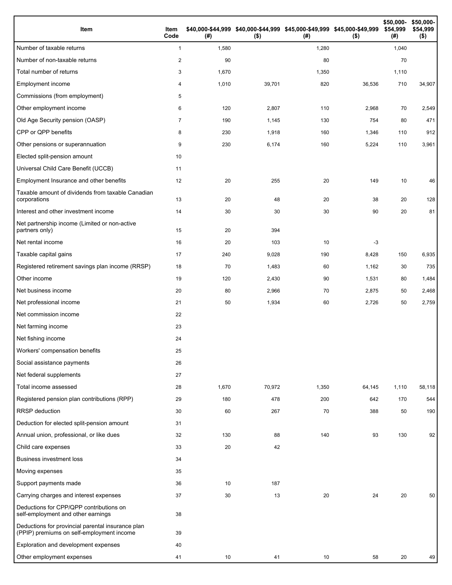| Item                                                                                           | Item<br>Code   | (#)   | \$40,000-\$44,999 \$40,000-\$44,999 \$45,000-\$49,999 \$45,000-\$49,999<br>$($ \$) | (#)   | $($ \$) | \$50,000-<br>\$54,999<br>(#) | \$50,000-<br>\$54,999<br>$($ \$) |
|------------------------------------------------------------------------------------------------|----------------|-------|------------------------------------------------------------------------------------|-------|---------|------------------------------|----------------------------------|
| Number of taxable returns                                                                      | $\mathbf{1}$   | 1,580 |                                                                                    | 1,280 |         | 1,040                        |                                  |
| Number of non-taxable returns                                                                  | 2              | 90    |                                                                                    | 80    |         | 70                           |                                  |
| Total number of returns                                                                        | 3              | 1,670 |                                                                                    | 1,350 |         | 1,110                        |                                  |
| Employment income                                                                              | 4              | 1,010 | 39,701                                                                             | 820   | 36,536  | 710                          | 34,907                           |
| Commissions (from employment)                                                                  | 5              |       |                                                                                    |       |         |                              |                                  |
| Other employment income                                                                        | 6              | 120   | 2,807                                                                              | 110   | 2,968   | 70                           | 2,549                            |
| Old Age Security pension (OASP)                                                                | $\overline{7}$ | 190   | 1,145                                                                              | 130   | 754     | 80                           | 471                              |
| CPP or QPP benefits                                                                            | 8              | 230   | 1,918                                                                              | 160   | 1,346   | 110                          | 912                              |
| Other pensions or superannuation                                                               | 9              | 230   | 6,174                                                                              | 160   | 5,224   | 110                          | 3,961                            |
| Elected split-pension amount                                                                   | 10             |       |                                                                                    |       |         |                              |                                  |
| Universal Child Care Benefit (UCCB)                                                            | 11             |       |                                                                                    |       |         |                              |                                  |
| Employment Insurance and other benefits                                                        | 12             | 20    | 255                                                                                | 20    | 149     | 10                           | 46                               |
| Taxable amount of dividends from taxable Canadian<br>corporations                              | 13             | 20    | 48                                                                                 | 20    | 38      | 20                           | 128                              |
| Interest and other investment income                                                           | 14             | 30    | 30                                                                                 | 30    | 90      | 20                           | 81                               |
| Net partnership income (Limited or non-active<br>partners only)                                | 15             | 20    | 394                                                                                |       |         |                              |                                  |
| Net rental income                                                                              | 16             | 20    | 103                                                                                | 10    | $-3$    |                              |                                  |
| Taxable capital gains                                                                          | 17             | 240   | 9,028                                                                              | 190   | 8,428   | 150                          | 6,935                            |
| Registered retirement savings plan income (RRSP)                                               | 18             | 70    | 1,483                                                                              | 60    | 1,162   | 30                           | 735                              |
| Other income                                                                                   | 19             | 120   | 2,430                                                                              | 90    | 1,531   | 80                           | 1,484                            |
| Net business income                                                                            | 20             | 80    | 2,966                                                                              | 70    | 2,875   | 50                           | 2,468                            |
| Net professional income                                                                        | 21             | 50    | 1,934                                                                              | 60    | 2,726   | 50                           | 2,759                            |
| Net commission income                                                                          | 22             |       |                                                                                    |       |         |                              |                                  |
| Net farming income                                                                             | 23             |       |                                                                                    |       |         |                              |                                  |
| Net fishing income                                                                             | 24             |       |                                                                                    |       |         |                              |                                  |
| Workers' compensation benefits                                                                 | 25             |       |                                                                                    |       |         |                              |                                  |
| Social assistance payments                                                                     | 26             |       |                                                                                    |       |         |                              |                                  |
| Net federal supplements                                                                        | 27             |       |                                                                                    |       |         |                              |                                  |
| Total income assessed                                                                          | 28             | 1,670 | 70,972                                                                             | 1,350 | 64,145  | 1,110                        | 58,118                           |
| Registered pension plan contributions (RPP)                                                    | 29             | 180   | 478                                                                                | 200   | 642     | 170                          | 544                              |
| <b>RRSP</b> deduction                                                                          | 30             | 60    | 267                                                                                | 70    | 388     | 50                           | 190                              |
| Deduction for elected split-pension amount                                                     | 31             |       |                                                                                    |       |         |                              |                                  |
| Annual union, professional, or like dues                                                       | 32             | 130   | 88                                                                                 | 140   | 93      | 130                          | 92                               |
| Child care expenses                                                                            | 33             | 20    | 42                                                                                 |       |         |                              |                                  |
| <b>Business investment loss</b>                                                                | 34             |       |                                                                                    |       |         |                              |                                  |
| Moving expenses                                                                                | 35             |       |                                                                                    |       |         |                              |                                  |
| Support payments made                                                                          | 36             | 10    | 187                                                                                |       |         |                              |                                  |
| Carrying charges and interest expenses                                                         | 37             | 30    | 13                                                                                 | 20    | 24      | 20                           | 50                               |
| Deductions for CPP/QPP contributions on<br>self-employment and other earnings                  | 38             |       |                                                                                    |       |         |                              |                                  |
| Deductions for provincial parental insurance plan<br>(PPIP) premiums on self-employment income | 39             |       |                                                                                    |       |         |                              |                                  |
| Exploration and development expenses                                                           | 40             |       |                                                                                    |       |         |                              |                                  |
| Other employment expenses                                                                      | 41             | 10    | 41                                                                                 | 10    | 58      | 20                           | 49                               |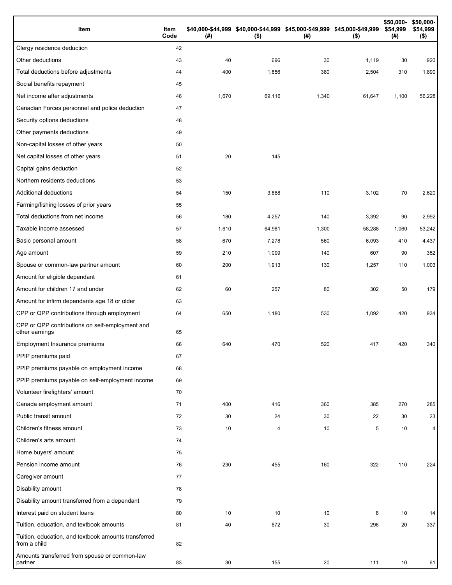| Item                                                                 | Item<br>Code | (# )  | \$40,000-\$44,999 \$40,000-\$44,999 \$45,000-\$49,999 \$45,000-\$49,999<br>$($ \$) | (#)   | $($ \$) | \$50,000-<br>\$54,999<br>(#) | \$50,000-<br>\$54,999<br>$($ \$) |
|----------------------------------------------------------------------|--------------|-------|------------------------------------------------------------------------------------|-------|---------|------------------------------|----------------------------------|
| Clergy residence deduction                                           | 42           |       |                                                                                    |       |         |                              |                                  |
| Other deductions                                                     | 43           | 40    | 696                                                                                | 30    | 1,119   | 30                           | 920                              |
| Total deductions before adjustments                                  | 44           | 400   | 1,856                                                                              | 380   | 2,504   | 310                          | 1,890                            |
| Social benefits repayment                                            | 45           |       |                                                                                    |       |         |                              |                                  |
| Net income after adjustments                                         | 46           | 1,670 | 69,116                                                                             | 1,340 | 61,647  | 1,100                        | 56,228                           |
| Canadian Forces personnel and police deduction                       | 47           |       |                                                                                    |       |         |                              |                                  |
| Security options deductions                                          | 48           |       |                                                                                    |       |         |                              |                                  |
| Other payments deductions                                            | 49           |       |                                                                                    |       |         |                              |                                  |
| Non-capital losses of other years                                    | 50           |       |                                                                                    |       |         |                              |                                  |
| Net capital losses of other years                                    | 51           | 20    | 145                                                                                |       |         |                              |                                  |
| Capital gains deduction                                              | 52           |       |                                                                                    |       |         |                              |                                  |
| Northern residents deductions                                        | 53           |       |                                                                                    |       |         |                              |                                  |
| Additional deductions                                                | 54           | 150   | 3,888                                                                              | 110   | 3,102   | 70                           | 2,620                            |
| Farming/fishing losses of prior years                                | 55           |       |                                                                                    |       |         |                              |                                  |
| Total deductions from net income                                     | 56           | 180   | 4,257                                                                              | 140   | 3,392   | 90                           | 2,992                            |
| Taxable income assessed                                              | 57           | 1,610 | 64,981                                                                             | 1,300 | 58,288  | 1,060                        | 53,242                           |
| Basic personal amount                                                | 58           | 670   | 7,278                                                                              | 560   | 6,093   | 410                          | 4,437                            |
| Age amount                                                           | 59           | 210   | 1,099                                                                              | 140   | 607     | 90                           | 352                              |
| Spouse or common-law partner amount                                  | 60           | 200   | 1,913                                                                              | 130   | 1,257   | 110                          | 1,003                            |
| Amount for eligible dependant                                        | 61           |       |                                                                                    |       |         |                              |                                  |
| Amount for children 17 and under                                     | 62           | 60    | 257                                                                                | 80    | 302     | 50                           | 179                              |
| Amount for infirm dependants age 18 or older                         | 63           |       |                                                                                    |       |         |                              |                                  |
| CPP or QPP contributions through employment                          | 64           | 650   | 1,180                                                                              | 530   | 1,092   | 420                          | 934                              |
| CPP or QPP contributions on self-employment and<br>other earnings    | 65           |       |                                                                                    |       |         |                              |                                  |
| Employment Insurance premiums                                        | 66           | 640   | 470                                                                                | 520   | 417     | 420                          | 340                              |
| PPIP premiums paid                                                   | 67           |       |                                                                                    |       |         |                              |                                  |
| PPIP premiums payable on employment income                           | 68           |       |                                                                                    |       |         |                              |                                  |
| PPIP premiums payable on self-employment income                      | 69           |       |                                                                                    |       |         |                              |                                  |
| Volunteer firefighters' amount                                       | 70           |       |                                                                                    |       |         |                              |                                  |
| Canada employment amount                                             | 71           | 400   | 416                                                                                | 360   | 385     | 270                          | 285                              |
| Public transit amount                                                | 72           | 30    | 24                                                                                 | 30    | 22      | 30                           | 23                               |
| Children's fitness amount                                            | 73           | 10    | 4                                                                                  | 10    | 5       | 10                           | 4                                |
| Children's arts amount                                               | 74           |       |                                                                                    |       |         |                              |                                  |
| Home buyers' amount                                                  | 75           |       |                                                                                    |       |         |                              |                                  |
| Pension income amount                                                | 76           | 230   | 455                                                                                | 160   | 322     | 110                          | 224                              |
| Caregiver amount                                                     | 77           |       |                                                                                    |       |         |                              |                                  |
| Disability amount                                                    | 78           |       |                                                                                    |       |         |                              |                                  |
| Disability amount transferred from a dependant                       | 79           |       |                                                                                    |       |         |                              |                                  |
| Interest paid on student loans                                       | 80           | 10    | 10                                                                                 | 10    | 8       | 10                           | 14                               |
| Tuition, education, and textbook amounts                             | 81           | 40    | 672                                                                                | 30    | 296     | 20                           | 337                              |
| Tuition, education, and textbook amounts transferred<br>from a child | 82           |       |                                                                                    |       |         |                              |                                  |
| Amounts transferred from spouse or common-law<br>partner             | 83           | 30    | 155                                                                                | 20    | 111     | 10                           | 61                               |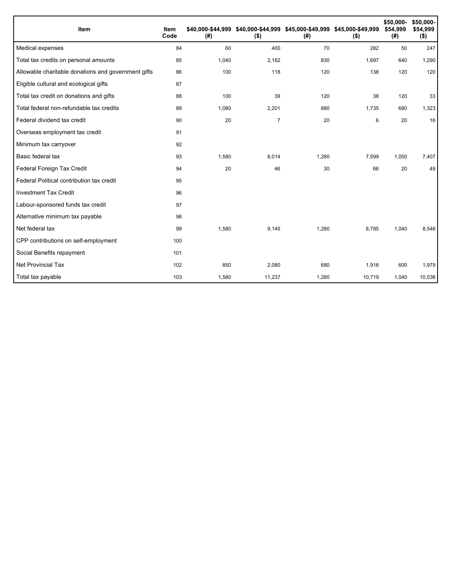| Item                                                | Item<br>Code | (#)   | \$40,000-\$44,999 \$40,000-\$44,999 \$45,000-\$49,999 \$45,000-\$49,999<br>$($ \$) | (#)   | $($ \$) | \$50,000-<br>\$54,999<br>(#) | \$50,000-<br>\$54,999<br>$($ \$) |
|-----------------------------------------------------|--------------|-------|------------------------------------------------------------------------------------|-------|---------|------------------------------|----------------------------------|
| Medical expenses                                    | 84           | 60    | 400                                                                                | 70    | 282     | 50                           | 247                              |
| Total tax credits on personal amounts               | 85           | 1,040 | 2,162                                                                              | 830   | 1,697   | 640                          | 1,290                            |
| Allowable charitable donations and government gifts | 86           | 100   | 118                                                                                | 120   | 138     | 120                          | 120                              |
| Eligible cultural and ecological gifts              | 87           |       |                                                                                    |       |         |                              |                                  |
| Total tax credit on donations and gifts             | 88           | 100   | 39                                                                                 | 120   | 38      | 120                          | 33                               |
| Total federal non-refundable tax credits            | 89           | 1,080 | 2,201                                                                              | 880   | 1,735   | 680                          | 1,323                            |
| Federal dividend tax credit                         | 90           | 20    | $\overline{7}$                                                                     | 20    | 6       | 20                           | 16                               |
| Overseas employment tax credit                      | 91           |       |                                                                                    |       |         |                              |                                  |
| Minimum tax carryover                               | 92           |       |                                                                                    |       |         |                              |                                  |
| Basic federal tax                                   | 93           | 1,580 | 8,014                                                                              | 1,280 | 7,599   | 1,050                        | 7,407                            |
| Federal Foreign Tax Credit                          | 94           | 20    | 46                                                                                 | 30    | 66      | 20                           | 49                               |
| Federal Political contribution tax credit           | 95           |       |                                                                                    |       |         |                              |                                  |
| <b>Investment Tax Credit</b>                        | 96           |       |                                                                                    |       |         |                              |                                  |
| Labour-sponsored funds tax credit                   | 97           |       |                                                                                    |       |         |                              |                                  |
| Alternative minimum tax payable                     | 98           |       |                                                                                    |       |         |                              |                                  |
| Net federal tax                                     | 99           | 1,580 | 9,145                                                                              | 1,280 | 8,795   | 1,040                        | 8,546                            |
| CPP contributions on self-employment                | 100          |       |                                                                                    |       |         |                              |                                  |
| Social Benefits repayment                           | 101          |       |                                                                                    |       |         |                              |                                  |
| Net Provincial Tax                                  | 102          | 850   | 2,080                                                                              | 680   | 1,916   | 600                          | 1,979                            |
| Total tax payable                                   | 103          | 1,580 | 11,237                                                                             | 1,280 | 10,719  | 1,040                        | 10,536                           |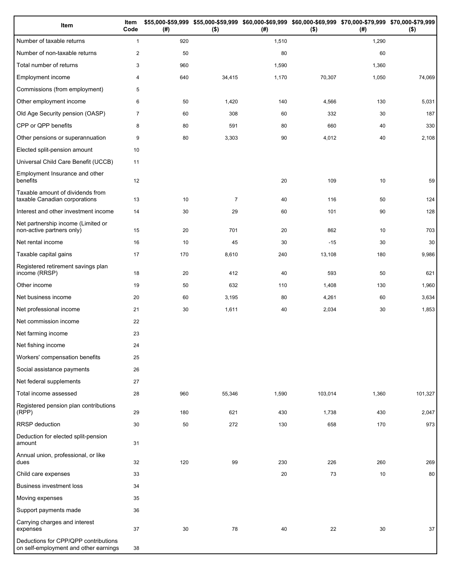| Item                                                                          | Item<br>Code   | (#) | $($ \$)        | (#)   | \$55,000-\$59,999 \$55,000-\$59,999 \$60,000-\$69,999 \$60,000-\$69,999 \$70,000-\$79,999 \$70,000-\$79,999<br>$($ \$) | (#)   | $($ \$) |
|-------------------------------------------------------------------------------|----------------|-----|----------------|-------|------------------------------------------------------------------------------------------------------------------------|-------|---------|
| Number of taxable returns                                                     | $\mathbf{1}$   | 920 |                | 1,510 |                                                                                                                        | 1,290 |         |
| Number of non-taxable returns                                                 | $\overline{2}$ | 50  |                | 80    |                                                                                                                        | 60    |         |
| Total number of returns                                                       | 3              | 960 |                | 1,590 |                                                                                                                        | 1,360 |         |
| Employment income                                                             | 4              | 640 | 34,415         | 1,170 | 70,307                                                                                                                 | 1,050 | 74,069  |
| Commissions (from employment)                                                 | 5              |     |                |       |                                                                                                                        |       |         |
| Other employment income                                                       | 6              | 50  | 1,420          | 140   | 4,566                                                                                                                  | 130   | 5,031   |
| Old Age Security pension (OASP)                                               | $\overline{7}$ | 60  | 308            | 60    | 332                                                                                                                    | 30    | 187     |
| CPP or QPP benefits                                                           | 8              | 80  | 591            | 80    | 660                                                                                                                    | 40    | 330     |
| Other pensions or superannuation                                              | 9              | 80  | 3,303          | 90    | 4,012                                                                                                                  | 40    | 2,108   |
| Elected split-pension amount                                                  | 10             |     |                |       |                                                                                                                        |       |         |
| Universal Child Care Benefit (UCCB)                                           | 11             |     |                |       |                                                                                                                        |       |         |
| Employment Insurance and other<br>benefits                                    | 12             |     |                | 20    | 109                                                                                                                    | 10    | 59      |
| Taxable amount of dividends from<br>taxable Canadian corporations             | 13             | 10  | $\overline{7}$ | 40    | 116                                                                                                                    | 50    | 124     |
| Interest and other investment income                                          | 14             | 30  | 29             | 60    | 101                                                                                                                    | 90    | 128     |
| Net partnership income (Limited or<br>non-active partners only)               | 15             | 20  | 701            | 20    | 862                                                                                                                    | 10    | 703     |
| Net rental income                                                             | 16             | 10  | 45             | 30    | $-15$                                                                                                                  | 30    | 30      |
| Taxable capital gains                                                         | 17             | 170 | 8,610          | 240   | 13,108                                                                                                                 | 180   | 9,986   |
| Registered retirement savings plan<br>income (RRSP)                           | 18             | 20  | 412            | 40    | 593                                                                                                                    | 50    | 621     |
| Other income                                                                  | 19             | 50  | 632            | 110   | 1,408                                                                                                                  | 130   | 1,960   |
| Net business income                                                           | 20             | 60  | 3,195          | 80    | 4,261                                                                                                                  | 60    | 3,634   |
| Net professional income                                                       | 21             | 30  | 1,611          | 40    | 2,034                                                                                                                  | 30    | 1,853   |
| Net commission income                                                         | 22             |     |                |       |                                                                                                                        |       |         |
| Net farming income                                                            | 23             |     |                |       |                                                                                                                        |       |         |
| Net fishing income                                                            | 24             |     |                |       |                                                                                                                        |       |         |
| Workers' compensation benefits                                                | 25             |     |                |       |                                                                                                                        |       |         |
| Social assistance payments                                                    | 26             |     |                |       |                                                                                                                        |       |         |
| Net federal supplements                                                       | 27             |     |                |       |                                                                                                                        |       |         |
| Total income assessed                                                         | 28             | 960 | 55,346         | 1,590 | 103,014                                                                                                                | 1,360 | 101,327 |
| Registered pension plan contributions<br>(RPP)                                | 29             | 180 | 621            | 430   | 1,738                                                                                                                  | 430   | 2,047   |
| RRSP deduction                                                                | 30             | 50  | 272            | 130   | 658                                                                                                                    | 170   | 973     |
| Deduction for elected split-pension<br>amount                                 | 31             |     |                |       |                                                                                                                        |       |         |
| Annual union, professional, or like<br>dues                                   | 32             | 120 | 99             | 230   | 226                                                                                                                    | 260   | 269     |
| Child care expenses                                                           | 33             |     |                | 20    | 73                                                                                                                     | 10    | 80      |
| <b>Business investment loss</b>                                               | 34             |     |                |       |                                                                                                                        |       |         |
| Moving expenses                                                               | 35             |     |                |       |                                                                                                                        |       |         |
| Support payments made                                                         | 36             |     |                |       |                                                                                                                        |       |         |
| Carrying charges and interest<br>expenses                                     | 37             | 30  | 78             | 40    | 22                                                                                                                     | 30    | 37      |
| Deductions for CPP/QPP contributions<br>on self-employment and other earnings | 38             |     |                |       |                                                                                                                        |       |         |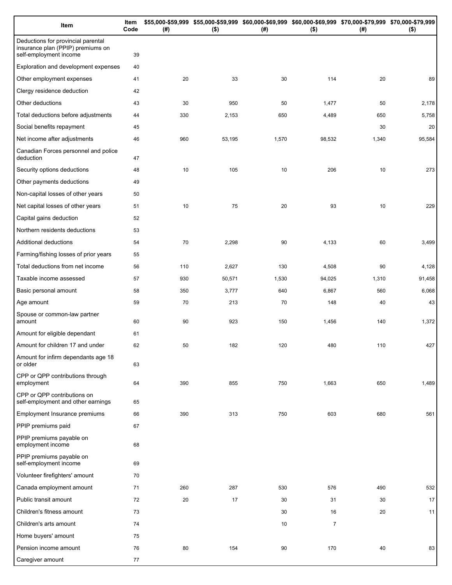| Item                                                                                              | Item<br>Code | (#) | \$55,000-\$59,999 \$55,000-\$59,999 \$60,000-\$69,999 \$60,000-\$69,999 \$70,000-\$79,999 \$70,000-\$79,999<br>$($ \$) | (#)   | $($ \$)        | (# )  | $($ \$) |
|---------------------------------------------------------------------------------------------------|--------------|-----|------------------------------------------------------------------------------------------------------------------------|-------|----------------|-------|---------|
| Deductions for provincial parental<br>insurance plan (PPIP) premiums on<br>self-employment income | 39           |     |                                                                                                                        |       |                |       |         |
| Exploration and development expenses                                                              | 40           |     |                                                                                                                        |       |                |       |         |
| Other employment expenses                                                                         | 41           | 20  | 33                                                                                                                     | 30    | 114            | 20    | 89      |
| Clergy residence deduction                                                                        | 42           |     |                                                                                                                        |       |                |       |         |
| Other deductions                                                                                  | 43           | 30  | 950                                                                                                                    | 50    | 1,477          | 50    | 2,178   |
| Total deductions before adjustments                                                               | 44           | 330 | 2,153                                                                                                                  | 650   | 4,489          | 650   | 5,758   |
| Social benefits repayment                                                                         | 45           |     |                                                                                                                        |       |                | 30    | 20      |
| Net income after adjustments                                                                      | 46           | 960 | 53,195                                                                                                                 | 1,570 | 98,532         | 1,340 | 95,584  |
| Canadian Forces personnel and police<br>deduction                                                 | 47           |     |                                                                                                                        |       |                |       |         |
| Security options deductions                                                                       | 48           | 10  | 105                                                                                                                    | 10    | 206            | 10    | 273     |
| Other payments deductions                                                                         | 49           |     |                                                                                                                        |       |                |       |         |
| Non-capital losses of other years                                                                 | 50           |     |                                                                                                                        |       |                |       |         |
| Net capital losses of other years                                                                 | 51           | 10  | 75                                                                                                                     | 20    | 93             | 10    | 229     |
| Capital gains deduction                                                                           | 52           |     |                                                                                                                        |       |                |       |         |
| Northern residents deductions                                                                     | 53           |     |                                                                                                                        |       |                |       |         |
| Additional deductions                                                                             | 54           | 70  | 2,298                                                                                                                  | 90    | 4,133          | 60    | 3,499   |
| Farming/fishing losses of prior years                                                             | 55           |     |                                                                                                                        |       |                |       |         |
| Total deductions from net income                                                                  | 56           | 110 | 2,627                                                                                                                  | 130   | 4,508          | 90    | 4,128   |
| Taxable income assessed                                                                           | 57           | 930 | 50,571                                                                                                                 | 1,530 | 94,025         | 1,310 | 91,458  |
| Basic personal amount                                                                             | 58           | 350 | 3,777                                                                                                                  | 640   | 6,867          | 560   | 6,068   |
| Age amount                                                                                        | 59           | 70  | 213                                                                                                                    | 70    | 148            | 40    | 43      |
| Spouse or common-law partner<br>amount                                                            | 60           | 90  | 923                                                                                                                    | 150   | 1,456          | 140   | 1,372   |
| Amount for eligible dependant                                                                     | 61           |     |                                                                                                                        |       |                |       |         |
| Amount for children 17 and under                                                                  | 62           | 50  | 182                                                                                                                    | 120   | 480            | 110   | 427     |
| Amount for infirm dependants age 18<br>or older                                                   | 63           |     |                                                                                                                        |       |                |       |         |
| CPP or QPP contributions through<br>employment                                                    | 64           | 390 | 855                                                                                                                    | 750   | 1,663          | 650   | 1,489   |
| CPP or QPP contributions on<br>self-employment and other earnings                                 | 65           |     |                                                                                                                        |       |                |       |         |
| Employment Insurance premiums                                                                     | 66           | 390 | 313                                                                                                                    | 750   | 603            | 680   | 561     |
| PPIP premiums paid                                                                                | 67           |     |                                                                                                                        |       |                |       |         |
| PPIP premiums payable on<br>employment income                                                     | 68           |     |                                                                                                                        |       |                |       |         |
| PPIP premiums payable on<br>self-employment income                                                | 69           |     |                                                                                                                        |       |                |       |         |
| Volunteer firefighters' amount                                                                    | 70           |     |                                                                                                                        |       |                |       |         |
| Canada employment amount                                                                          | 71           | 260 | 287                                                                                                                    | 530   | 576            | 490   | 532     |
| Public transit amount                                                                             | 72           | 20  | 17                                                                                                                     | 30    | 31             | 30    | 17      |
| Children's fitness amount                                                                         | 73           |     |                                                                                                                        | 30    | 16             | 20    | 11      |
| Children's arts amount                                                                            | 74           |     |                                                                                                                        | 10    | $\overline{7}$ |       |         |
| Home buyers' amount                                                                               | 75           |     |                                                                                                                        |       |                |       |         |
| Pension income amount                                                                             | 76           | 80  | 154                                                                                                                    | 90    | 170            | 40    | 83      |
| Caregiver amount                                                                                  | 77           |     |                                                                                                                        |       |                |       |         |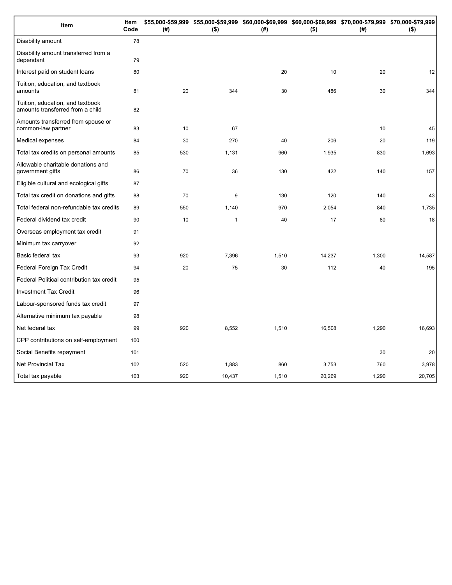| Item                                                                 | Item<br>Code | (# ) | \$55,000-\$59,999 \$55,000-\$59,999 \$60,000-\$69,999 \$60,000-\$69,999 \$70,000-\$79,999 \$70,000-\$79,999<br>$($ \$) | (#)   | $($ \$) | (#)   | $($ \$) |
|----------------------------------------------------------------------|--------------|------|------------------------------------------------------------------------------------------------------------------------|-------|---------|-------|---------|
| Disability amount                                                    | 78           |      |                                                                                                                        |       |         |       |         |
| Disability amount transferred from a<br>dependant                    | 79           |      |                                                                                                                        |       |         |       |         |
| Interest paid on student loans                                       | 80           |      |                                                                                                                        | 20    | 10      | 20    | 12      |
| Tuition, education, and textbook<br>amounts                          | 81           | 20   | 344                                                                                                                    | 30    | 486     | 30    | 344     |
| Tuition, education, and textbook<br>amounts transferred from a child | 82           |      |                                                                                                                        |       |         |       |         |
| Amounts transferred from spouse or<br>common-law partner             | 83           | 10   | 67                                                                                                                     |       |         | 10    | 45      |
| Medical expenses                                                     | 84           | 30   | 270                                                                                                                    | 40    | 206     | 20    | 119     |
| Total tax credits on personal amounts                                | 85           | 530  | 1,131                                                                                                                  | 960   | 1,935   | 830   | 1,693   |
| Allowable charitable donations and<br>government gifts               | 86           | 70   | 36                                                                                                                     | 130   | 422     | 140   | 157     |
| Eligible cultural and ecological gifts                               | 87           |      |                                                                                                                        |       |         |       |         |
| Total tax credit on donations and gifts                              | 88           | 70   | 9                                                                                                                      | 130   | 120     | 140   | 43      |
| Total federal non-refundable tax credits                             | 89           | 550  | 1,140                                                                                                                  | 970   | 2,054   | 840   | 1,735   |
| Federal dividend tax credit                                          | 90           | 10   | $\mathbf{1}$                                                                                                           | 40    | 17      | 60    | 18      |
| Overseas employment tax credit                                       | 91           |      |                                                                                                                        |       |         |       |         |
| Minimum tax carryover                                                | 92           |      |                                                                                                                        |       |         |       |         |
| Basic federal tax                                                    | 93           | 920  | 7,396                                                                                                                  | 1,510 | 14,237  | 1,300 | 14,587  |
| Federal Foreign Tax Credit                                           | 94           | 20   | 75                                                                                                                     | 30    | 112     | 40    | 195     |
| Federal Political contribution tax credit                            | 95           |      |                                                                                                                        |       |         |       |         |
| <b>Investment Tax Credit</b>                                         | 96           |      |                                                                                                                        |       |         |       |         |
| Labour-sponsored funds tax credit                                    | 97           |      |                                                                                                                        |       |         |       |         |
| Alternative minimum tax payable                                      | 98           |      |                                                                                                                        |       |         |       |         |
| Net federal tax                                                      | 99           | 920  | 8,552                                                                                                                  | 1,510 | 16,508  | 1,290 | 16,693  |
| CPP contributions on self-employment                                 | 100          |      |                                                                                                                        |       |         |       |         |
| Social Benefits repayment                                            | 101          |      |                                                                                                                        |       |         | 30    | 20      |
| <b>Net Provincial Tax</b>                                            | 102          | 520  | 1,883                                                                                                                  | 860   | 3,753   | 760   | 3,978   |
| Total tax payable                                                    | 103          | 920  | 10,437                                                                                                                 | 1,510 | 20,269  | 1,290 | 20,705  |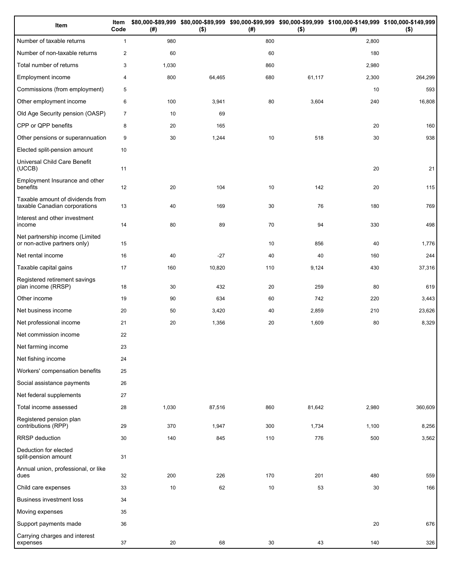| Item                                                              | Item<br>Code   | (# )  | $($ \$) | (#) | $($ \$) | \$80,000-\$89,999 \$80,000-\$89,999 \$90,000-\$99,999 \$90,000-\$99,999 \$100,000-\$149,999 \$100,000-\$149,999<br>(#) | $($ \$) |
|-------------------------------------------------------------------|----------------|-------|---------|-----|---------|------------------------------------------------------------------------------------------------------------------------|---------|
| Number of taxable returns                                         | $\mathbf{1}$   | 980   |         | 800 |         | 2,800                                                                                                                  |         |
| Number of non-taxable returns                                     | $\mathbf{2}$   | 60    |         | 60  |         | 180                                                                                                                    |         |
| Total number of returns                                           | 3              | 1,030 |         | 860 |         | 2,980                                                                                                                  |         |
| Employment income                                                 | $\overline{4}$ | 800   | 64,465  | 680 | 61,117  | 2,300                                                                                                                  | 264,299 |
| Commissions (from employment)                                     | 5              |       |         |     |         | 10                                                                                                                     | 593     |
| Other employment income                                           | 6              | 100   | 3,941   | 80  | 3,604   | 240                                                                                                                    | 16,808  |
| Old Age Security pension (OASP)                                   | $\overline{7}$ | 10    | 69      |     |         |                                                                                                                        |         |
| CPP or QPP benefits                                               | 8              | 20    | 165     |     |         | 20                                                                                                                     | 160     |
| Other pensions or superannuation                                  | 9              | 30    | 1,244   | 10  | 518     | 30                                                                                                                     | 938     |
| Elected split-pension amount                                      | 10             |       |         |     |         |                                                                                                                        |         |
| Universal Child Care Benefit<br>(UCCB)                            | 11             |       |         |     |         | 20                                                                                                                     | 21      |
| Employment Insurance and other<br>benefits                        | 12             | 20    | 104     | 10  | 142     | 20                                                                                                                     | 115     |
| Taxable amount of dividends from<br>taxable Canadian corporations | 13             | 40    | 169     | 30  | 76      | 180                                                                                                                    | 769     |
| Interest and other investment<br>income                           | 14             | 80    | 89      | 70  | 94      | 330                                                                                                                    | 498     |
| Net partnership income (Limited<br>or non-active partners only)   | 15             |       |         | 10  | 856     | 40                                                                                                                     | 1,776   |
| Net rental income                                                 | 16             | 40    | $-27$   | 40  | 40      | 160                                                                                                                    | 244     |
| Taxable capital gains                                             | 17             | 160   | 10,820  | 110 | 9,124   | 430                                                                                                                    | 37,316  |
| Registered retirement savings<br>plan income (RRSP)               | 18             | 30    | 432     | 20  | 259     | 80                                                                                                                     | 619     |
| Other income                                                      | 19             | 90    | 634     | 60  | 742     | 220                                                                                                                    | 3,443   |
| Net business income                                               | 20             | 50    | 3,420   | 40  | 2,859   | 210                                                                                                                    | 23,626  |
| Net professional income                                           | 21             | 20    | 1,356   | 20  | 1,609   | 80                                                                                                                     | 8,329   |
| Net commission income                                             | 22             |       |         |     |         |                                                                                                                        |         |
| Net farming income                                                | 23             |       |         |     |         |                                                                                                                        |         |
| Net fishing income                                                | 24             |       |         |     |         |                                                                                                                        |         |
| Workers' compensation benefits                                    | 25             |       |         |     |         |                                                                                                                        |         |
| Social assistance payments                                        | 26             |       |         |     |         |                                                                                                                        |         |
| Net federal supplements                                           | 27             |       |         |     |         |                                                                                                                        |         |
| Total income assessed                                             | 28             | 1,030 | 87,516  | 860 | 81,642  | 2,980                                                                                                                  | 360,609 |
| Registered pension plan<br>contributions (RPP)                    | 29             | 370   | 1,947   | 300 | 1,734   | 1,100                                                                                                                  | 8,256   |
| RRSP deduction                                                    | 30             | 140   | 845     | 110 | 776     | 500                                                                                                                    | 3,562   |
| Deduction for elected<br>split-pension amount                     | 31             |       |         |     |         |                                                                                                                        |         |
| Annual union, professional, or like<br>dues                       | 32             | 200   | 226     | 170 | 201     | 480                                                                                                                    | 559     |
| Child care expenses                                               | 33             | 10    | 62      | 10  | 53      | 30                                                                                                                     | 166     |
| Business investment loss                                          | 34             |       |         |     |         |                                                                                                                        |         |
| Moving expenses                                                   | 35             |       |         |     |         |                                                                                                                        |         |
| Support payments made                                             | 36             |       |         |     |         | 20                                                                                                                     | 676     |
| Carrying charges and interest<br>expenses                         | 37             | 20    | 68      | 30  | 43      | 140                                                                                                                    | 326     |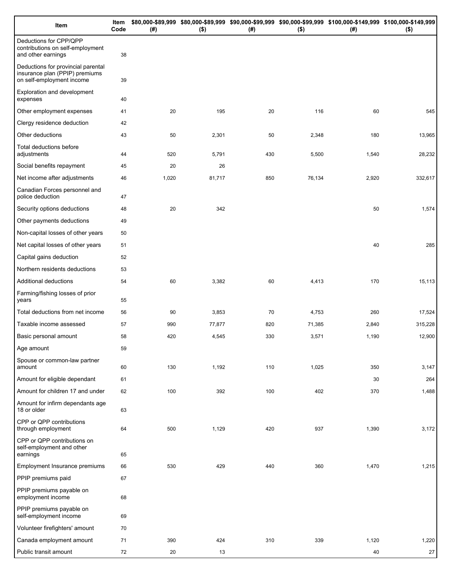| Item                                                                                              | Item<br>Code | (# )  | $($ \$) | (# ) | $($ \$) | \$80,000-\$89,999 \$80,000-\$89,999 \$90,000-\$99,999 \$90,000-\$99,999 \$100,000-\$149,999 \$100,000-\$149,999<br>(#) | $($ \$) |
|---------------------------------------------------------------------------------------------------|--------------|-------|---------|------|---------|------------------------------------------------------------------------------------------------------------------------|---------|
| Deductions for CPP/QPP<br>contributions on self-employment<br>and other earnings                  | 38           |       |         |      |         |                                                                                                                        |         |
| Deductions for provincial parental<br>insurance plan (PPIP) premiums<br>on self-employment income | 39           |       |         |      |         |                                                                                                                        |         |
| Exploration and development<br>expenses                                                           | 40           |       |         |      |         |                                                                                                                        |         |
| Other employment expenses                                                                         | 41           | 20    | 195     | 20   | 116     | 60                                                                                                                     | 545     |
| Clergy residence deduction                                                                        | 42           |       |         |      |         |                                                                                                                        |         |
| Other deductions                                                                                  | 43           | 50    | 2,301   | 50   | 2,348   | 180                                                                                                                    | 13,965  |
| Total deductions before<br>adjustments                                                            | 44           | 520   | 5,791   | 430  | 5,500   | 1,540                                                                                                                  | 28,232  |
| Social benefits repayment                                                                         | 45           | 20    | 26      |      |         |                                                                                                                        |         |
| Net income after adjustments                                                                      | 46           | 1,020 | 81,717  | 850  | 76,134  | 2,920                                                                                                                  | 332,617 |
| Canadian Forces personnel and<br>police deduction                                                 | 47           |       |         |      |         |                                                                                                                        |         |
| Security options deductions                                                                       | 48           | 20    | 342     |      |         | 50                                                                                                                     | 1,574   |
| Other payments deductions                                                                         | 49           |       |         |      |         |                                                                                                                        |         |
| Non-capital losses of other years                                                                 | 50           |       |         |      |         |                                                                                                                        |         |
| Net capital losses of other years                                                                 | 51           |       |         |      |         | 40                                                                                                                     | 285     |
| Capital gains deduction                                                                           | 52           |       |         |      |         |                                                                                                                        |         |
| Northern residents deductions                                                                     | 53           |       |         |      |         |                                                                                                                        |         |
| Additional deductions                                                                             | 54           | 60    | 3,382   | 60   | 4,413   | 170                                                                                                                    | 15,113  |
| Farming/fishing losses of prior<br>years                                                          | 55           |       |         |      |         |                                                                                                                        |         |
| Total deductions from net income                                                                  | 56           | 90    | 3,853   | 70   | 4,753   | 260                                                                                                                    | 17,524  |
| Taxable income assessed                                                                           | 57           | 990   | 77,877  | 820  | 71,385  | 2,840                                                                                                                  | 315,228 |
| Basic personal amount                                                                             | 58           | 420   | 4,545   | 330  | 3,571   | 1,190                                                                                                                  | 12,900  |
| Age amount                                                                                        | 59           |       |         |      |         |                                                                                                                        |         |
| Spouse or common-law partner<br>amount                                                            | 60           | 130   | 1,192   | 110  | 1,025   | 350                                                                                                                    | 3,147   |
| Amount for eligible dependant                                                                     | 61           |       |         |      |         | 30                                                                                                                     | 264     |
| Amount for children 17 and under                                                                  | 62           | 100   | 392     | 100  | 402     | 370                                                                                                                    | 1,488   |
| Amount for infirm dependants age<br>18 or older                                                   | 63           |       |         |      |         |                                                                                                                        |         |
| CPP or QPP contributions<br>through employment                                                    | 64           | 500   | 1,129   | 420  | 937     | 1,390                                                                                                                  | 3,172   |
| CPP or QPP contributions on<br>self-employment and other<br>earnings                              | 65           |       |         |      |         |                                                                                                                        |         |
| Employment Insurance premiums                                                                     | 66           | 530   | 429     | 440  | 360     | 1,470                                                                                                                  | 1,215   |
| PPIP premiums paid                                                                                | 67           |       |         |      |         |                                                                                                                        |         |
| PPIP premiums payable on<br>employment income                                                     | 68           |       |         |      |         |                                                                                                                        |         |
| PPIP premiums payable on<br>self-employment income                                                | 69           |       |         |      |         |                                                                                                                        |         |
| Volunteer firefighters' amount                                                                    | 70           |       |         |      |         |                                                                                                                        |         |
| Canada employment amount                                                                          | 71           | 390   | 424     | 310  | 339     | 1,120                                                                                                                  | 1,220   |
| Public transit amount                                                                             | 72           | 20    | 13      |      |         | 40                                                                                                                     | 27      |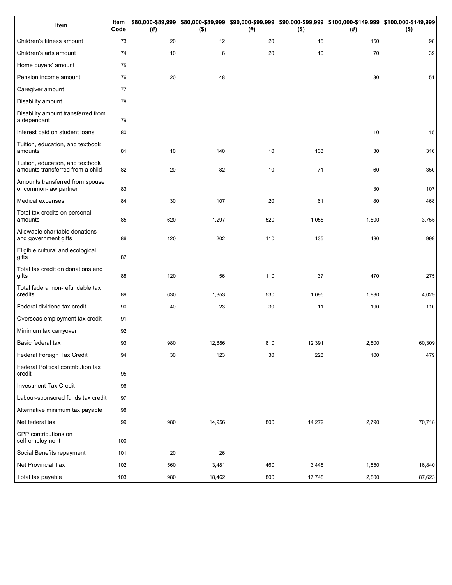| Item                                                                 | Item<br>Code | (# ) | $($ \$) | (# ) | $($ \$) | \$80,000-\$89,999 \$80,000-\$89,999 \$90,000-\$99,999 \$90,000-\$99,999 \$100,000-\$149,999 \$100,000-\$149,999<br>(#) | $($ \$) |
|----------------------------------------------------------------------|--------------|------|---------|------|---------|------------------------------------------------------------------------------------------------------------------------|---------|
| Children's fitness amount                                            | 73           | 20   | 12      | 20   | 15      | 150                                                                                                                    | 98      |
| Children's arts amount                                               | 74           | 10   | 6       | 20   | 10      | 70                                                                                                                     | 39      |
| Home buyers' amount                                                  | 75           |      |         |      |         |                                                                                                                        |         |
| Pension income amount                                                | 76           | 20   | 48      |      |         | 30                                                                                                                     | 51      |
| Caregiver amount                                                     | 77           |      |         |      |         |                                                                                                                        |         |
| Disability amount                                                    | 78           |      |         |      |         |                                                                                                                        |         |
| Disability amount transferred from<br>a dependant                    | 79           |      |         |      |         |                                                                                                                        |         |
| Interest paid on student loans                                       | 80           |      |         |      |         | 10                                                                                                                     | 15      |
| Tuition, education, and textbook<br>amounts                          | 81           | 10   | 140     | 10   | 133     | 30                                                                                                                     | 316     |
| Tuition, education, and textbook<br>amounts transferred from a child | 82           | 20   | 82      | 10   | 71      | 60                                                                                                                     | 350     |
| Amounts transferred from spouse<br>or common-law partner             | 83           |      |         |      |         | 30                                                                                                                     | 107     |
| Medical expenses                                                     | 84           | 30   | 107     | 20   | 61      | 80                                                                                                                     | 468     |
| Total tax credits on personal<br>amounts                             | 85           | 620  | 1,297   | 520  | 1,058   | 1,800                                                                                                                  | 3,755   |
| Allowable charitable donations<br>and government gifts               | 86           | 120  | 202     | 110  | 135     | 480                                                                                                                    | 999     |
| Eligible cultural and ecological<br>gifts                            | 87           |      |         |      |         |                                                                                                                        |         |
| Total tax credit on donations and<br>gifts                           | 88           | 120  | 56      | 110  | 37      | 470                                                                                                                    | 275     |
| Total federal non-refundable tax<br>credits                          | 89           | 630  | 1,353   | 530  | 1,095   | 1,830                                                                                                                  | 4,029   |
| Federal dividend tax credit                                          | 90           | 40   | 23      | 30   | 11      | 190                                                                                                                    | 110     |
| Overseas employment tax credit                                       | 91           |      |         |      |         |                                                                                                                        |         |
| Minimum tax carryover                                                | 92           |      |         |      |         |                                                                                                                        |         |
| Basic federal tax                                                    | 93           | 980  | 12,886  | 810  | 12,391  | 2,800                                                                                                                  | 60,309  |
| Federal Foreign Tax Credit                                           | 94           | 30   | 123     | 30   | 228     | 100                                                                                                                    | 479     |
| Federal Political contribution tax<br>credit                         | 95           |      |         |      |         |                                                                                                                        |         |
| <b>Investment Tax Credit</b>                                         | 96           |      |         |      |         |                                                                                                                        |         |
| Labour-sponsored funds tax credit                                    | 97           |      |         |      |         |                                                                                                                        |         |
| Alternative minimum tax payable                                      | 98           |      |         |      |         |                                                                                                                        |         |
| Net federal tax                                                      | 99           | 980  | 14,956  | 800  | 14,272  | 2,790                                                                                                                  | 70,718  |
| CPP contributions on<br>self-employment                              | 100          |      |         |      |         |                                                                                                                        |         |
| Social Benefits repayment                                            | 101          | 20   | 26      |      |         |                                                                                                                        |         |
| Net Provincial Tax                                                   | 102          | 560  | 3,481   | 460  | 3,448   | 1,550                                                                                                                  | 16,840  |
| Total tax payable                                                    | 103          | 980  | 18,462  | 800  | 17,748  | 2,800                                                                                                                  | 87,623  |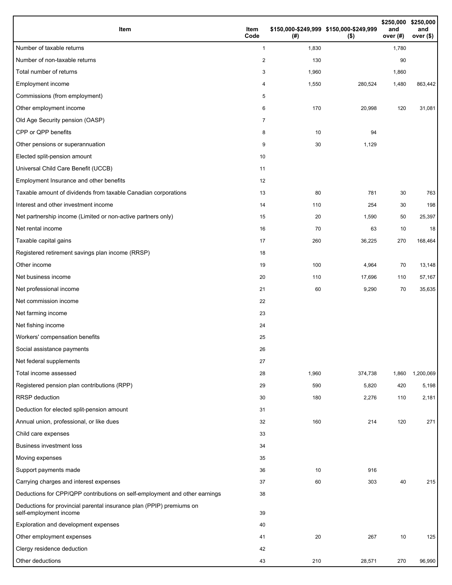| Item                                                                                           | Item<br>Code   | (# )  | \$150,000-\$249,999 \$150,000-\$249,999<br>$($ \$) | \$250,000<br>and<br>over (#) | \$250,000<br>and<br>over (\$) |
|------------------------------------------------------------------------------------------------|----------------|-------|----------------------------------------------------|------------------------------|-------------------------------|
| Number of taxable returns                                                                      | 1              | 1,830 |                                                    | 1,780                        |                               |
| Number of non-taxable returns                                                                  | $\mathbf{2}$   | 130   |                                                    | 90                           |                               |
| Total number of returns                                                                        | 3              | 1,960 |                                                    | 1,860                        |                               |
| Employment income                                                                              | 4              | 1,550 | 280,524                                            | 1,480                        | 863,442                       |
| Commissions (from employment)                                                                  | 5              |       |                                                    |                              |                               |
| Other employment income                                                                        | 6              | 170   | 20,998                                             | 120                          | 31,081                        |
| Old Age Security pension (OASP)                                                                | $\overline{7}$ |       |                                                    |                              |                               |
| CPP or QPP benefits                                                                            | 8              | 10    | 94                                                 |                              |                               |
| Other pensions or superannuation                                                               | 9              | 30    | 1,129                                              |                              |                               |
| Elected split-pension amount                                                                   | 10             |       |                                                    |                              |                               |
| Universal Child Care Benefit (UCCB)                                                            | 11             |       |                                                    |                              |                               |
| Employment Insurance and other benefits                                                        | 12             |       |                                                    |                              |                               |
| Taxable amount of dividends from taxable Canadian corporations                                 | 13             | 80    | 781                                                | 30                           | 763                           |
| Interest and other investment income                                                           | 14             | 110   | 254                                                | 30                           | 198                           |
| Net partnership income (Limited or non-active partners only)                                   | 15             | 20    | 1,590                                              | 50                           | 25,397                        |
| Net rental income                                                                              | 16             | 70    | 63                                                 | 10                           | 18                            |
| Taxable capital gains                                                                          | 17             | 260   | 36,225                                             | 270                          | 168,464                       |
| Registered retirement savings plan income (RRSP)                                               | 18             |       |                                                    |                              |                               |
| Other income                                                                                   | 19             | 100   | 4,964                                              | 70                           | 13,148                        |
| Net business income                                                                            | 20             | 110   | 17,696                                             | 110                          | 57,167                        |
| Net professional income                                                                        | 21             | 60    | 9,290                                              | 70                           | 35,635                        |
| Net commission income                                                                          | 22             |       |                                                    |                              |                               |
| Net farming income                                                                             | 23             |       |                                                    |                              |                               |
| Net fishing income                                                                             | 24             |       |                                                    |                              |                               |
| Workers' compensation benefits                                                                 | 25             |       |                                                    |                              |                               |
| Social assistance payments                                                                     | 26             |       |                                                    |                              |                               |
| Net federal supplements                                                                        | 27             |       |                                                    |                              |                               |
| Total income assessed                                                                          | 28             | 1,960 | 374,738                                            | 1,860                        | 1,200,069                     |
| Registered pension plan contributions (RPP)                                                    | 29             | 590   | 5,820                                              | 420                          | 5,198                         |
| <b>RRSP</b> deduction                                                                          | 30             | 180   | 2,276                                              | 110                          | 2,181                         |
| Deduction for elected split-pension amount                                                     | 31             |       |                                                    |                              |                               |
| Annual union, professional, or like dues                                                       | 32             | 160   | 214                                                | 120                          | 271                           |
| Child care expenses                                                                            | 33             |       |                                                    |                              |                               |
| <b>Business investment loss</b>                                                                | 34             |       |                                                    |                              |                               |
| Moving expenses                                                                                | 35             |       |                                                    |                              |                               |
| Support payments made                                                                          | 36             | 10    | 916                                                |                              |                               |
| Carrying charges and interest expenses                                                         | 37             | 60    | 303                                                | 40                           | 215                           |
| Deductions for CPP/QPP contributions on self-employment and other earnings                     | 38             |       |                                                    |                              |                               |
| Deductions for provincial parental insurance plan (PPIP) premiums on<br>self-employment income | 39             |       |                                                    |                              |                               |
| Exploration and development expenses                                                           | 40             |       |                                                    |                              |                               |
| Other employment expenses                                                                      | 41             | 20    | 267                                                | 10                           | 125                           |
| Clergy residence deduction                                                                     | 42             |       |                                                    |                              |                               |
| Other deductions                                                                               | 43             | 210   | 28,571                                             | 270                          | 96,990                        |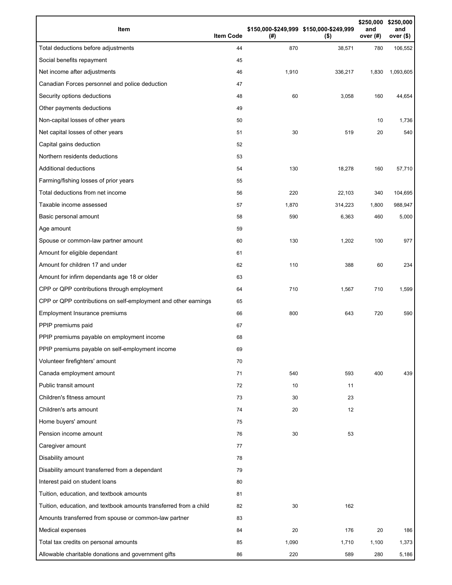| Item                                                              | <b>Item Code</b> | (#)   | \$150,000-\$249,999 \$150,000-\$249,999<br>$($ \$) | \$250,000<br>and<br>over (#) | \$250,000<br>and<br>over $($)$ |
|-------------------------------------------------------------------|------------------|-------|----------------------------------------------------|------------------------------|--------------------------------|
| Total deductions before adjustments                               | 44               | 870   | 38,571                                             | 780                          | 106,552                        |
| Social benefits repayment                                         | 45               |       |                                                    |                              |                                |
| Net income after adjustments                                      | 46               | 1,910 | 336,217                                            | 1,830                        | 1,093,605                      |
| Canadian Forces personnel and police deduction                    | 47               |       |                                                    |                              |                                |
| Security options deductions                                       | 48               | 60    | 3,058                                              | 160                          | 44,654                         |
| Other payments deductions                                         | 49               |       |                                                    |                              |                                |
| Non-capital losses of other years                                 | 50               |       |                                                    | 10                           | 1,736                          |
| Net capital losses of other years                                 | 51               | 30    | 519                                                | 20                           | 540                            |
| Capital gains deduction                                           | 52               |       |                                                    |                              |                                |
| Northern residents deductions                                     | 53               |       |                                                    |                              |                                |
| <b>Additional deductions</b>                                      | 54               | 130   | 18,278                                             | 160                          | 57,710                         |
| Farming/fishing losses of prior years                             | 55               |       |                                                    |                              |                                |
| Total deductions from net income                                  | 56               | 220   | 22,103                                             | 340                          | 104,695                        |
| Taxable income assessed                                           | 57               | 1,870 | 314,223                                            | 1,800                        | 988,947                        |
| Basic personal amount                                             | 58               | 590   | 6,363                                              | 460                          | 5,000                          |
| Age amount                                                        | 59               |       |                                                    |                              |                                |
| Spouse or common-law partner amount                               | 60               | 130   | 1,202                                              | 100                          | 977                            |
| Amount for eligible dependant                                     | 61               |       |                                                    |                              |                                |
| Amount for children 17 and under                                  | 62               | 110   | 388                                                | 60                           | 234                            |
| Amount for infirm dependants age 18 or older                      | 63               |       |                                                    |                              |                                |
| CPP or QPP contributions through employment                       | 64               | 710   | 1,567                                              | 710                          | 1,599                          |
| CPP or QPP contributions on self-employment and other earnings    | 65               |       |                                                    |                              |                                |
| Employment Insurance premiums                                     | 66               | 800   | 643                                                | 720                          | 590                            |
| PPIP premiums paid                                                | 67               |       |                                                    |                              |                                |
| PPIP premiums payable on employment income                        | 68               |       |                                                    |                              |                                |
| PPIP premiums payable on self-employment income                   | 69               |       |                                                    |                              |                                |
| Volunteer firefighters' amount                                    | 70               |       |                                                    |                              |                                |
| Canada employment amount                                          | 71               | 540   | 593                                                | 400                          | 439                            |
| Public transit amount                                             | 72               | 10    | 11                                                 |                              |                                |
| Children's fitness amount                                         | 73               | 30    | 23                                                 |                              |                                |
| Children's arts amount                                            | 74               | 20    | 12                                                 |                              |                                |
| Home buyers' amount                                               | 75               |       |                                                    |                              |                                |
| Pension income amount                                             | 76               | 30    | 53                                                 |                              |                                |
| Caregiver amount                                                  | 77               |       |                                                    |                              |                                |
| Disability amount                                                 | 78               |       |                                                    |                              |                                |
| Disability amount transferred from a dependant                    | 79               |       |                                                    |                              |                                |
| Interest paid on student loans                                    | 80               |       |                                                    |                              |                                |
| Tuition, education, and textbook amounts                          | 81               |       |                                                    |                              |                                |
| Tuition, education, and textbook amounts transferred from a child | 82               | 30    | 162                                                |                              |                                |
| Amounts transferred from spouse or common-law partner             | 83               |       |                                                    |                              |                                |
| Medical expenses                                                  | 84               | 20    | 176                                                | 20                           | 186                            |
| Total tax credits on personal amounts                             | 85               | 1,090 | 1,710                                              | 1,100                        | 1,373                          |
| Allowable charitable donations and government gifts               | 86               | 220   | 589                                                | 280                          | 5,186                          |